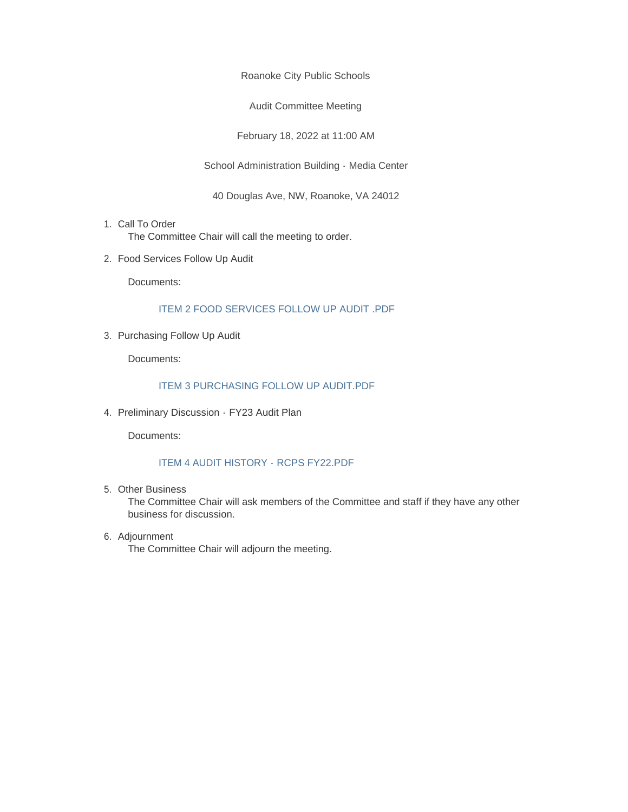Roanoke City Public Schools

Audit Committee Meeting

February 18, 2022 at 11:00 AM

School Administration Building - Media Center

40 Douglas Ave, NW, Roanoke, VA 24012

- 1. Call To Order The Committee Chair will call the meeting to order.
- 2. Food Services Follow Up Audit

Documents:

#### ITEM 2 FOOD SERVICES FOLLOW UP AUDIT .PDF

3. Purchasing Follow Up Audit

Documents:

#### ITEM 3 PURCHASING FOLLOW UP AUDIT.PDF

4. Preliminary Discussion - FY23 Audit Plan

Documents:

#### ITEM 4 AUDIT HISTORY - RCPS FY22.PDF

Other Business 5.

The Committee Chair will ask members of the Committee and staff if they have any other business for discussion.

6. Adjournment The Committee Chair will adjourn the meeting.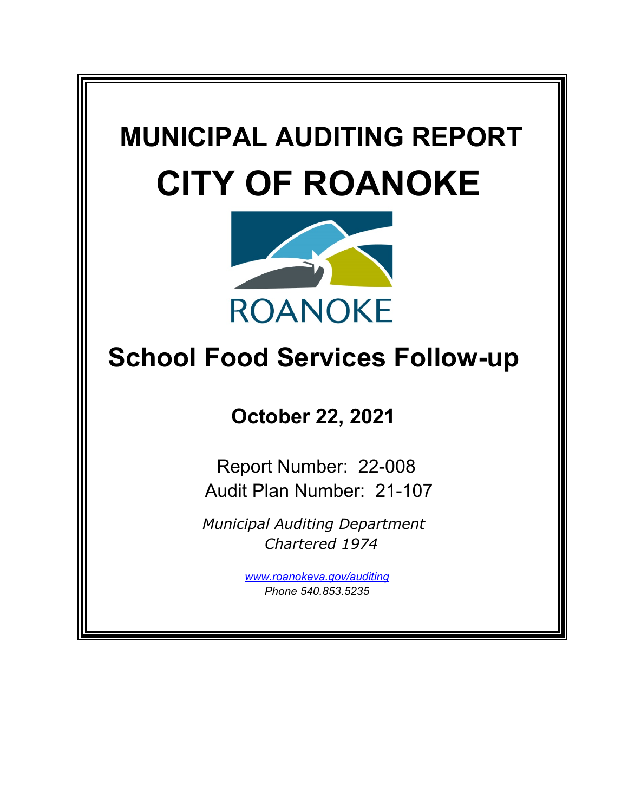# **MUNICIPAL AUDITING REPORT CITY OF ROANOKE**



# **School Food Services Follow-up**

**October 22, 2021**

Report Number: 22-008 Audit Plan Number: 21-107

*Municipal Auditing Department Chartered 1974*

> *[www.roanokeva.gov/](http://www.roanokeva.gov/)auditing Phone 540.853.5235*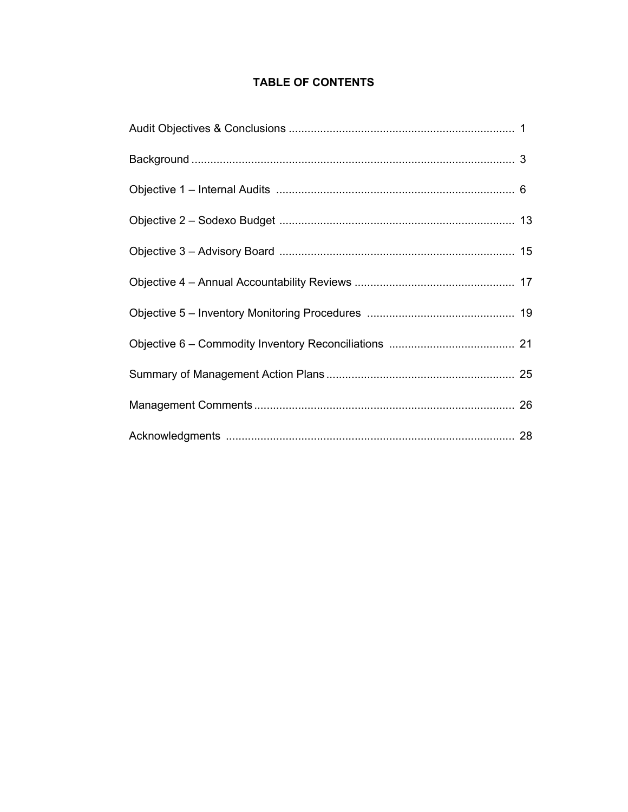# **TABLE OF CONTENTS**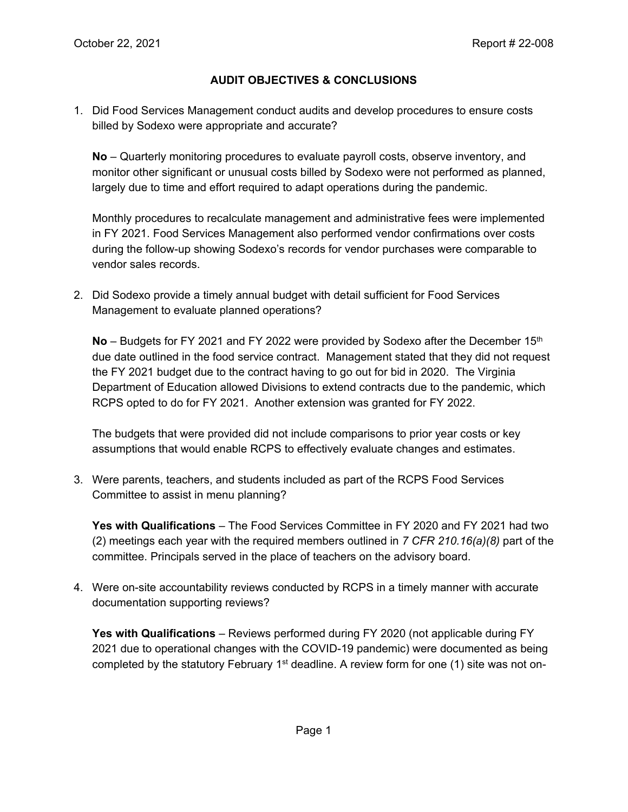#### **AUDIT OBJECTIVES & CONCLUSIONS**

1. Did Food Services Management conduct audits and develop procedures to ensure costs billed by Sodexo were appropriate and accurate?

**No** – Quarterly monitoring procedures to evaluate payroll costs, observe inventory, and monitor other significant or unusual costs billed by Sodexo were not performed as planned, largely due to time and effort required to adapt operations during the pandemic.

Monthly procedures to recalculate management and administrative fees were implemented in FY 2021. Food Services Management also performed vendor confirmations over costs during the follow-up showing Sodexo's records for vendor purchases were comparable to vendor sales records.

2. Did Sodexo provide a timely annual budget with detail sufficient for Food Services Management to evaluate planned operations?

**No** – Budgets for FY 2021 and FY 2022 were provided by Sodexo after the December 15<sup>th</sup> due date outlined in the food service contract. Management stated that they did not request the FY 2021 budget due to the contract having to go out for bid in 2020. The Virginia Department of Education allowed Divisions to extend contracts due to the pandemic, which RCPS opted to do for FY 2021. Another extension was granted for FY 2022.

The budgets that were provided did not include comparisons to prior year costs or key assumptions that would enable RCPS to effectively evaluate changes and estimates.

3. Were parents, teachers, and students included as part of the RCPS Food Services Committee to assist in menu planning?

**Yes with Qualifications** – The Food Services Committee in FY 2020 and FY 2021 had two (2) meetings each year with the required members outlined in *7 CFR 210.16(a)(8)* part of the committee. Principals served in the place of teachers on the advisory board.

4. Were on-site accountability reviews conducted by RCPS in a timely manner with accurate documentation supporting reviews?

**Yes with Qualifications** – Reviews performed during FY 2020 (not applicable during FY 2021 due to operational changes with the COVID-19 pandemic) were documented as being completed by the statutory February  $1<sup>st</sup>$  deadline. A review form for one (1) site was not on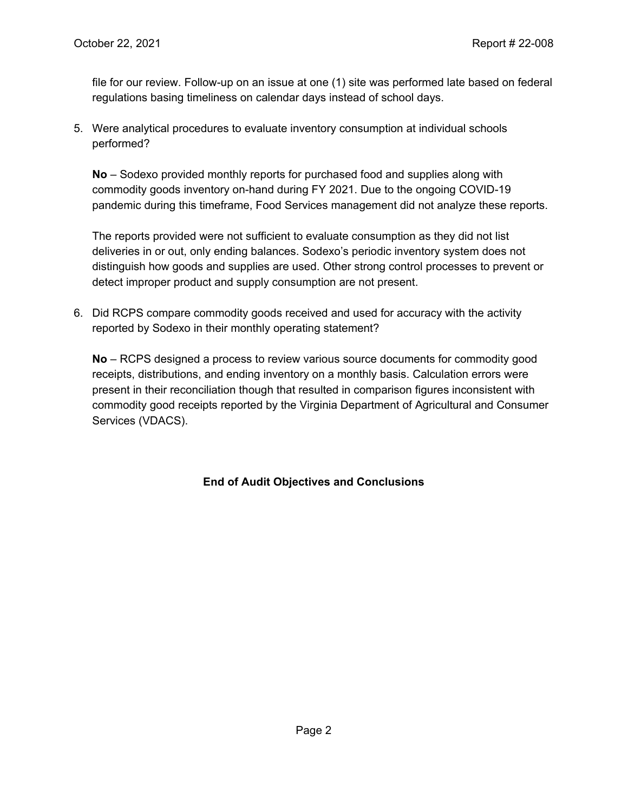file for our review. Follow-up on an issue at one (1) site was performed late based on federal regulations basing timeliness on calendar days instead of school days.

5. Were analytical procedures to evaluate inventory consumption at individual schools performed?

**No** – Sodexo provided monthly reports for purchased food and supplies along with commodity goods inventory on-hand during FY 2021. Due to the ongoing COVID-19 pandemic during this timeframe, Food Services management did not analyze these reports.

The reports provided were not sufficient to evaluate consumption as they did not list deliveries in or out, only ending balances. Sodexo's periodic inventory system does not distinguish how goods and supplies are used. Other strong control processes to prevent or detect improper product and supply consumption are not present.

6. Did RCPS compare commodity goods received and used for accuracy with the activity reported by Sodexo in their monthly operating statement?

**No** – RCPS designed a process to review various source documents for commodity good receipts, distributions, and ending inventory on a monthly basis. Calculation errors were present in their reconciliation though that resulted in comparison figures inconsistent with commodity good receipts reported by the Virginia Department of Agricultural and Consumer Services (VDACS).

#### **End of Audit Objectives and Conclusions**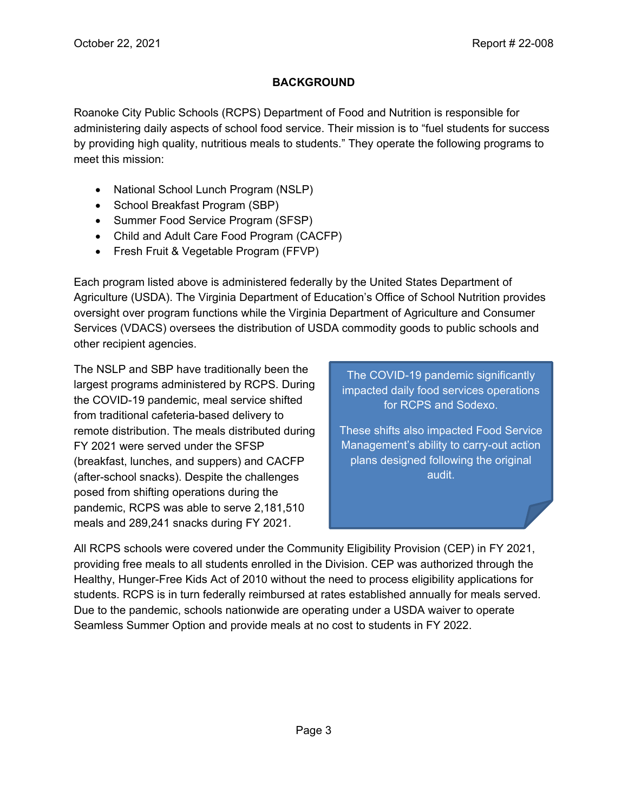# **BACKGROUND**

Roanoke City Public Schools (RCPS) Department of Food and Nutrition is responsible for administering daily aspects of school food service. Their mission is to "fuel students for success by providing high quality, nutritious meals to students." They operate the following programs to meet this mission:

- National School Lunch Program (NSLP)
- School Breakfast Program (SBP)
- Summer Food Service Program (SFSP)
- Child and Adult Care Food Program (CACFP)
- Fresh Fruit & Vegetable Program (FFVP)

Each program listed above is administered federally by the United States Department of Agriculture (USDA). The Virginia Department of Education's Office of School Nutrition provides oversight over program functions while the Virginia Department of Agriculture and Consumer Services (VDACS) oversees the distribution of USDA commodity goods to public schools and other recipient agencies.

The NSLP and SBP have traditionally been the largest programs administered by RCPS. During the COVID-19 pandemic, meal service shifted from traditional cafeteria-based delivery to remote distribution. The meals distributed during FY 2021 were served under the SFSP (breakfast, lunches, and suppers) and CACFP (after-school snacks). Despite the challenges posed from shifting operations during the pandemic, RCPS was able to serve 2,181,510 meals and 289,241 snacks during FY 2021.

The COVID-19 pandemic significantly impacted daily food services operations for RCPS and Sodexo.

These shifts also impacted Food Service Management's ability to carry-out action plans designed following the original audit.

All RCPS schools were covered under the Community Eligibility Provision (CEP) in FY 2021, providing free meals to all students enrolled in the Division. CEP was authorized through the Healthy, Hunger-Free Kids Act of 2010 without the need to process eligibility applications for students. RCPS is in turn federally reimbursed at rates established annually for meals served. Due to the pandemic, schools nationwide are operating under a USDA waiver to operate Seamless Summer Option and provide meals at no cost to students in FY 2022.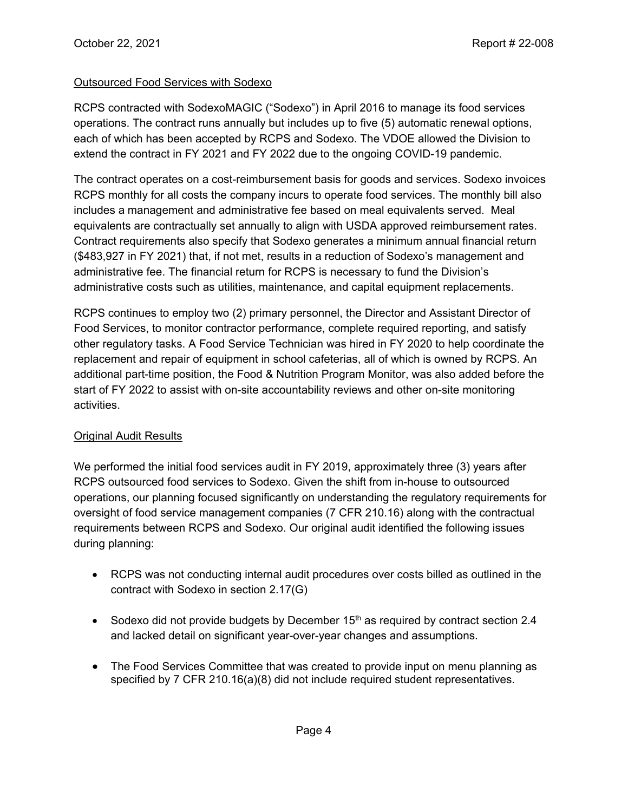#### Outsourced Food Services with Sodexo

RCPS contracted with SodexoMAGIC ("Sodexo") in April 2016 to manage its food services operations. The contract runs annually but includes up to five (5) automatic renewal options, each of which has been accepted by RCPS and Sodexo. The VDOE allowed the Division to extend the contract in FY 2021 and FY 2022 due to the ongoing COVID-19 pandemic.

The contract operates on a cost-reimbursement basis for goods and services. Sodexo invoices RCPS monthly for all costs the company incurs to operate food services. The monthly bill also includes a management and administrative fee based on meal equivalents served. Meal equivalents are contractually set annually to align with USDA approved reimbursement rates. Contract requirements also specify that Sodexo generates a minimum annual financial return (\$483,927 in FY 2021) that, if not met, results in a reduction of Sodexo's management and administrative fee. The financial return for RCPS is necessary to fund the Division's administrative costs such as utilities, maintenance, and capital equipment replacements.

RCPS continues to employ two (2) primary personnel, the Director and Assistant Director of Food Services, to monitor contractor performance, complete required reporting, and satisfy other regulatory tasks. A Food Service Technician was hired in FY 2020 to help coordinate the replacement and repair of equipment in school cafeterias, all of which is owned by RCPS. An additional part-time position, the Food & Nutrition Program Monitor, was also added before the start of FY 2022 to assist with on-site accountability reviews and other on-site monitoring activities.

#### Original Audit Results

We performed the initial food services audit in FY 2019, approximately three (3) years after RCPS outsourced food services to Sodexo. Given the shift from in-house to outsourced operations, our planning focused significantly on understanding the regulatory requirements for oversight of food service management companies (7 CFR 210.16) along with the contractual requirements between RCPS and Sodexo. Our original audit identified the following issues during planning:

- RCPS was not conducting internal audit procedures over costs billed as outlined in the contract with Sodexo in section 2.17(G)
- Sodexo did not provide budgets by December  $15<sup>th</sup>$  as required by contract section 2.4 and lacked detail on significant year-over-year changes and assumptions.
- The Food Services Committee that was created to provide input on menu planning as specified by 7 CFR 210.16(a)(8) did not include required student representatives.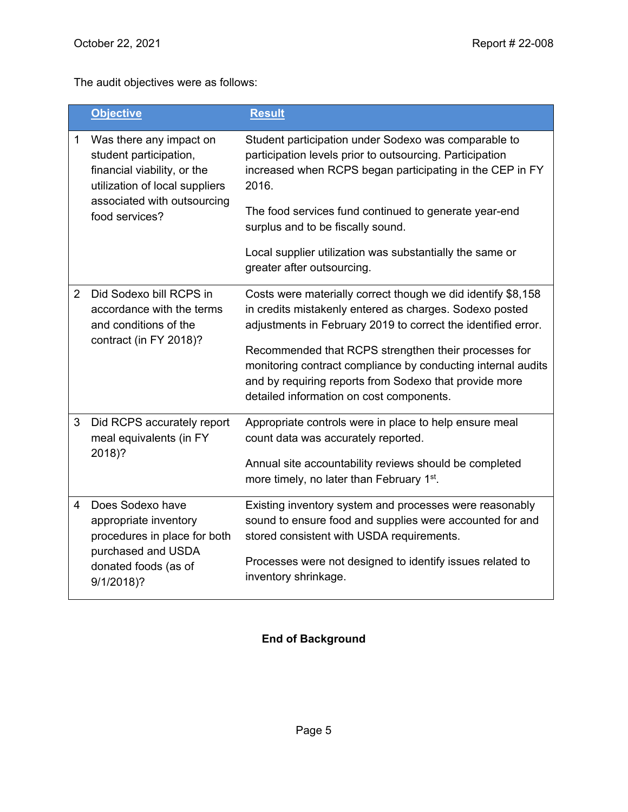The audit objectives were as follows:

|                | <b>Objective</b>                                                                                                        | <b>Result</b>                                                                                                                                                                                                                 |
|----------------|-------------------------------------------------------------------------------------------------------------------------|-------------------------------------------------------------------------------------------------------------------------------------------------------------------------------------------------------------------------------|
| 1              | Was there any impact on<br>student participation,<br>financial viability, or the<br>utilization of local suppliers      | Student participation under Sodexo was comparable to<br>participation levels prior to outsourcing. Participation<br>increased when RCPS began participating in the CEP in FY<br>2016.                                         |
|                | associated with outsourcing<br>food services?                                                                           | The food services fund continued to generate year-end<br>surplus and to be fiscally sound.                                                                                                                                    |
|                |                                                                                                                         | Local supplier utilization was substantially the same or<br>greater after outsourcing.                                                                                                                                        |
| $\overline{2}$ | Did Sodexo bill RCPS in<br>accordance with the terms<br>and conditions of the                                           | Costs were materially correct though we did identify \$8,158<br>in credits mistakenly entered as charges. Sodexo posted<br>adjustments in February 2019 to correct the identified error.                                      |
|                | contract (in FY 2018)?                                                                                                  | Recommended that RCPS strengthen their processes for<br>monitoring contract compliance by conducting internal audits<br>and by requiring reports from Sodexo that provide more<br>detailed information on cost components.    |
| 3              | Did RCPS accurately report<br>meal equivalents (in FY                                                                   | Appropriate controls were in place to help ensure meal<br>count data was accurately reported.                                                                                                                                 |
|                | 2018)?                                                                                                                  | Annual site accountability reviews should be completed<br>more timely, no later than February 1 <sup>st</sup> .                                                                                                               |
| 4              | Does Sodexo have<br>appropriate inventory<br>procedures in place for both<br>purchased and USDA<br>donated foods (as of | Existing inventory system and processes were reasonably<br>sound to ensure food and supplies were accounted for and<br>stored consistent with USDA requirements.<br>Processes were not designed to identify issues related to |
|                | 9/1/2018)?                                                                                                              | inventory shrinkage.                                                                                                                                                                                                          |

## **End of Background**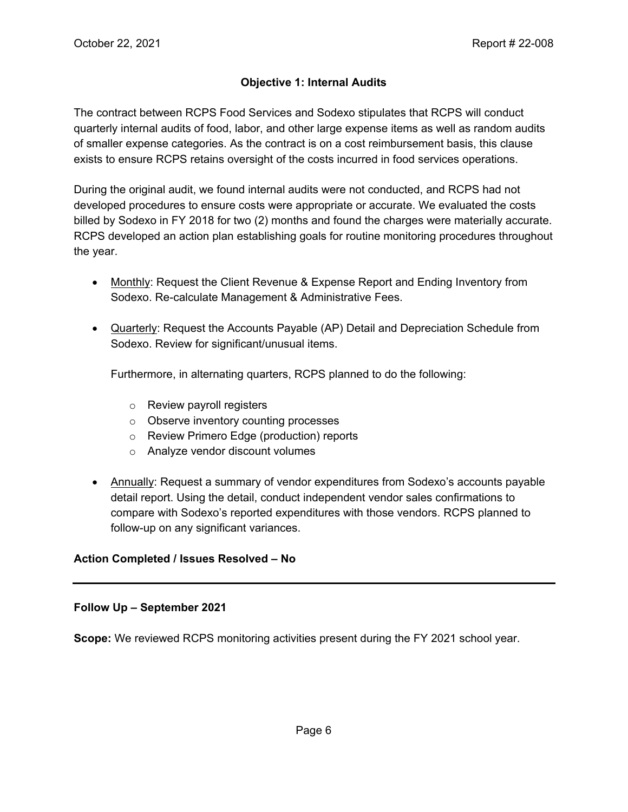#### **Objective 1: Internal Audits**

The contract between RCPS Food Services and Sodexo stipulates that RCPS will conduct quarterly internal audits of food, labor, and other large expense items as well as random audits of smaller expense categories. As the contract is on a cost reimbursement basis, this clause exists to ensure RCPS retains oversight of the costs incurred in food services operations.

During the original audit, we found internal audits were not conducted, and RCPS had not developed procedures to ensure costs were appropriate or accurate. We evaluated the costs billed by Sodexo in FY 2018 for two (2) months and found the charges were materially accurate. RCPS developed an action plan establishing goals for routine monitoring procedures throughout the year.

- Monthly: Request the Client Revenue & Expense Report and Ending Inventory from Sodexo. Re-calculate Management & Administrative Fees.
- Quarterly: Request the Accounts Payable (AP) Detail and Depreciation Schedule from Sodexo. Review for significant/unusual items.

Furthermore, in alternating quarters, RCPS planned to do the following:

- o Review payroll registers
- o Observe inventory counting processes
- o Review Primero Edge (production) reports
- o Analyze vendor discount volumes
- Annually: Request a summary of vendor expenditures from Sodexo's accounts payable detail report. Using the detail, conduct independent vendor sales confirmations to compare with Sodexo's reported expenditures with those vendors. RCPS planned to follow-up on any significant variances.

#### **Action Completed / Issues Resolved – No**

#### **Follow Up – September 2021**

**Scope:** We reviewed RCPS monitoring activities present during the FY 2021 school year.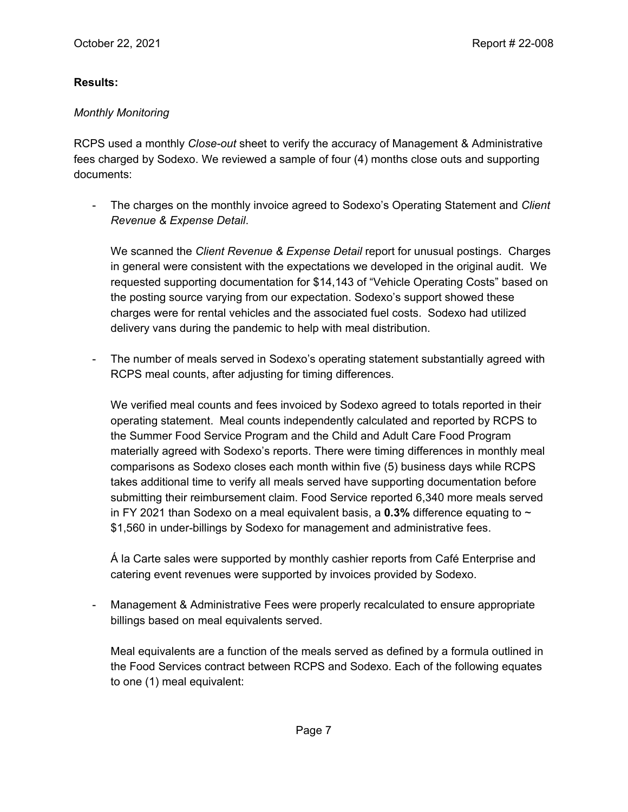#### **Results:**

#### *Monthly Monitoring*

RCPS used a monthly *Close-out* sheet to verify the accuracy of Management & Administrative fees charged by Sodexo. We reviewed a sample of four (4) months close outs and supporting documents:

- The charges on the monthly invoice agreed to Sodexo's Operating Statement and *Client Revenue & Expense Detail*.

We scanned the *Client Revenue & Expense Detail* report for unusual postings. Charges in general were consistent with the expectations we developed in the original audit. We requested supporting documentation for \$14,143 of "Vehicle Operating Costs" based on the posting source varying from our expectation. Sodexo's support showed these charges were for rental vehicles and the associated fuel costs. Sodexo had utilized delivery vans during the pandemic to help with meal distribution.

- The number of meals served in Sodexo's operating statement substantially agreed with RCPS meal counts, after adjusting for timing differences.

We verified meal counts and fees invoiced by Sodexo agreed to totals reported in their operating statement. Meal counts independently calculated and reported by RCPS to the Summer Food Service Program and the Child and Adult Care Food Program materially agreed with Sodexo's reports. There were timing differences in monthly meal comparisons as Sodexo closes each month within five (5) business days while RCPS takes additional time to verify all meals served have supporting documentation before submitting their reimbursement claim. Food Service reported 6,340 more meals served in FY 2021 than Sodexo on a meal equivalent basis, a **0.3%** difference equating to ~ \$1,560 in under-billings by Sodexo for management and administrative fees.

Á la Carte sales were supported by monthly cashier reports from Café Enterprise and catering event revenues were supported by invoices provided by Sodexo.

Management & Administrative Fees were properly recalculated to ensure appropriate billings based on meal equivalents served.

Meal equivalents are a function of the meals served as defined by a formula outlined in the Food Services contract between RCPS and Sodexo. Each of the following equates to one (1) meal equivalent: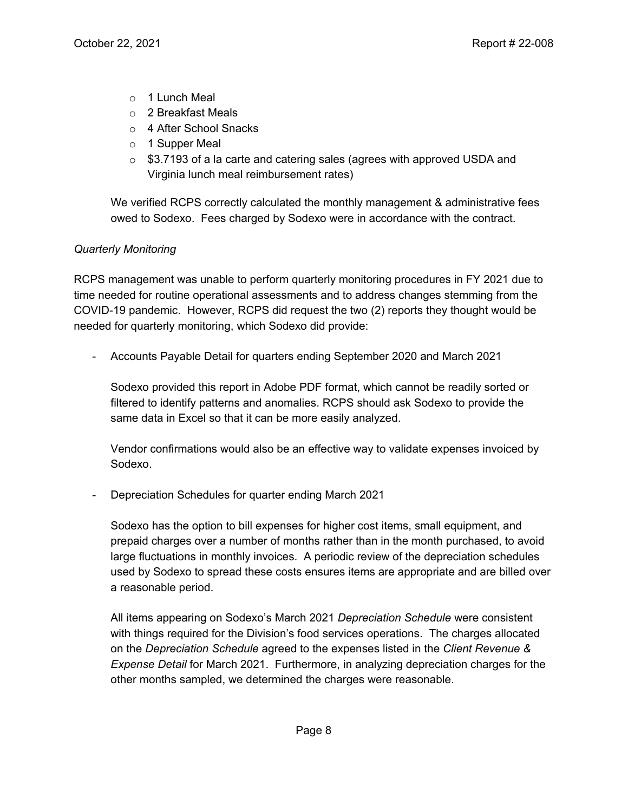- $\circ$  1 Lunch Meal
- o 2 Breakfast Meals
- o 4 After School Snacks
- o 1 Supper Meal
- $\circ$  \$3.7193 of a la carte and catering sales (agrees with approved USDA and Virginia lunch meal reimbursement rates)

We verified RCPS correctly calculated the monthly management & administrative fees owed to Sodexo. Fees charged by Sodexo were in accordance with the contract.

#### *Quarterly Monitoring*

RCPS management was unable to perform quarterly monitoring procedures in FY 2021 due to time needed for routine operational assessments and to address changes stemming from the COVID-19 pandemic. However, RCPS did request the two (2) reports they thought would be needed for quarterly monitoring, which Sodexo did provide:

- Accounts Payable Detail for quarters ending September 2020 and March 2021

Sodexo provided this report in Adobe PDF format, which cannot be readily sorted or filtered to identify patterns and anomalies. RCPS should ask Sodexo to provide the same data in Excel so that it can be more easily analyzed.

Vendor confirmations would also be an effective way to validate expenses invoiced by Sodexo.

- Depreciation Schedules for quarter ending March 2021

Sodexo has the option to bill expenses for higher cost items, small equipment, and prepaid charges over a number of months rather than in the month purchased, to avoid large fluctuations in monthly invoices. A periodic review of the depreciation schedules used by Sodexo to spread these costs ensures items are appropriate and are billed over a reasonable period.

All items appearing on Sodexo's March 2021 *Depreciation Schedule* were consistent with things required for the Division's food services operations. The charges allocated on the *Depreciation Schedule* agreed to the expenses listed in the *Client Revenue & Expense Detail* for March 2021. Furthermore, in analyzing depreciation charges for the other months sampled, we determined the charges were reasonable.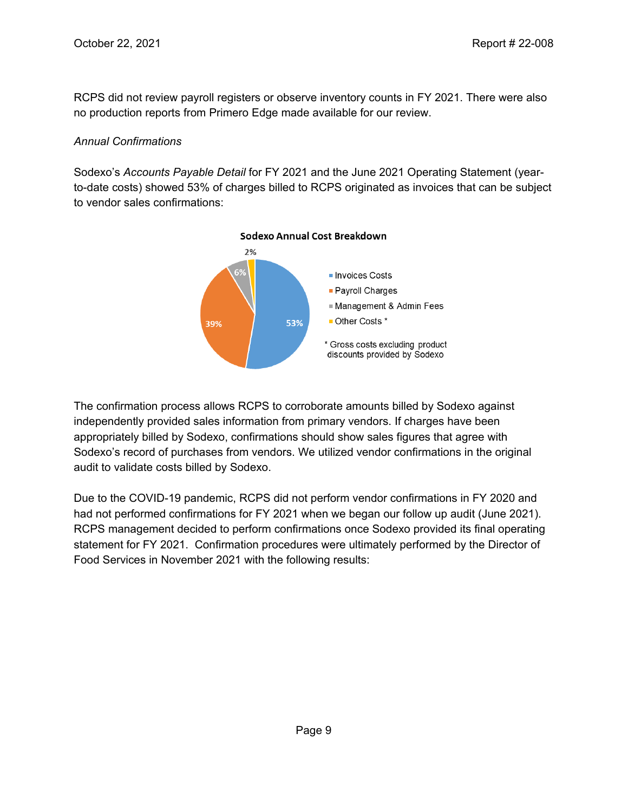RCPS did not review payroll registers or observe inventory counts in FY 2021. There were also no production reports from Primero Edge made available for our review.

#### *Annual Confirmations*

Sodexo's *Accounts Payable Detail* for FY 2021 and the June 2021 Operating Statement (yearto-date costs) showed 53% of charges billed to RCPS originated as invoices that can be subject to vendor sales confirmations:



The confirmation process allows RCPS to corroborate amounts billed by Sodexo against independently provided sales information from primary vendors. If charges have been appropriately billed by Sodexo, confirmations should show sales figures that agree with Sodexo's record of purchases from vendors. We utilized vendor confirmations in the original audit to validate costs billed by Sodexo.

Due to the COVID-19 pandemic, RCPS did not perform vendor confirmations in FY 2020 and had not performed confirmations for FY 2021 when we began our follow up audit (June 2021). RCPS management decided to perform confirmations once Sodexo provided its final operating statement for FY 2021. Confirmation procedures were ultimately performed by the Director of Food Services in November 2021 with the following results: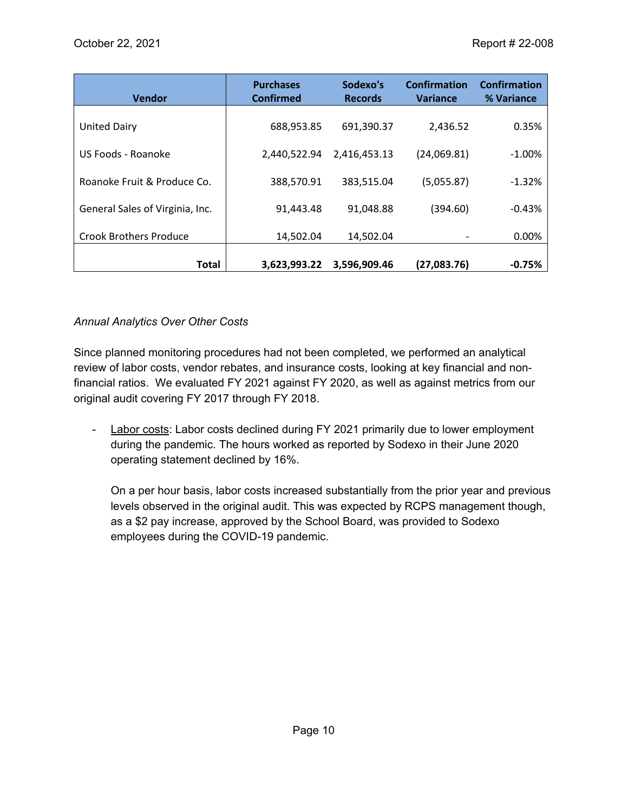| <b>Vendor</b>                   | <b>Purchases</b><br><b>Confirmed</b> | Sodexo's<br><b>Records</b> | Confirmation<br><b>Variance</b> | <b>Confirmation</b><br>% Variance |
|---------------------------------|--------------------------------------|----------------------------|---------------------------------|-----------------------------------|
| United Dairy                    | 688,953.85                           | 691,390.37                 | 2,436.52                        | 0.35%                             |
| US Foods - Roanoke              | 2,440,522.94                         | 2,416,453.13               | (24,069.81)                     | $-1.00%$                          |
| Roanoke Fruit & Produce Co.     | 388,570.91                           | 383,515.04                 | (5,055.87)                      | $-1.32%$                          |
| General Sales of Virginia, Inc. | 91,443.48                            | 91,048.88                  | (394.60)                        | $-0.43%$                          |
| <b>Crook Brothers Produce</b>   | 14.502.04                            | 14.502.04                  |                                 | 0.00%                             |
| Total                           | 3,623,993.22                         | 3,596,909.46               | (27,083.76)                     | $-0.75%$                          |

#### *Annual Analytics Over Other Costs*

Since planned monitoring procedures had not been completed, we performed an analytical review of labor costs, vendor rebates, and insurance costs, looking at key financial and nonfinancial ratios. We evaluated FY 2021 against FY 2020, as well as against metrics from our original audit covering FY 2017 through FY 2018.

- Labor costs: Labor costs declined during FY 2021 primarily due to lower employment during the pandemic. The hours worked as reported by Sodexo in their June 2020 operating statement declined by 16%.

On a per hour basis, labor costs increased substantially from the prior year and previous levels observed in the original audit. This was expected by RCPS management though, as a \$2 pay increase, approved by the School Board, was provided to Sodexo employees during the COVID-19 pandemic.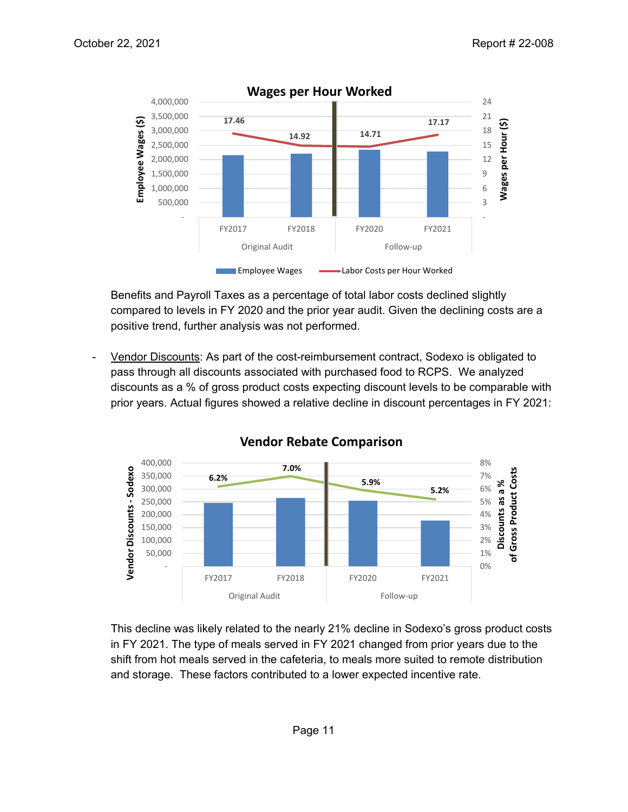

Benefits and Payroll Taxes as a percentage of total labor costs declined slightly compared to levels in FY 2020 and the prior year audit. Given the declining costs are a positive trend, further analysis was not performed.

- Vendor Discounts: As part of the cost-reimbursement contract, Sodexo is obligated to pass through all discounts associated with purchased food to RCPS. We analyzed discounts as a % of gross product costs expecting discount levels to be comparable with prior years. Actual figures showed a relative decline in discount percentages in FY 2021:



**Vendor Rebate Comparison**

This decline was likely related to the nearly 21% decline in Sodexo's gross product costs in FY 2021. The type of meals served in FY 2021 changed from prior years due to the shift from hot meals served in the cafeteria, to meals more suited to remote distribution and storage. These factors contributed to a lower expected incentive rate.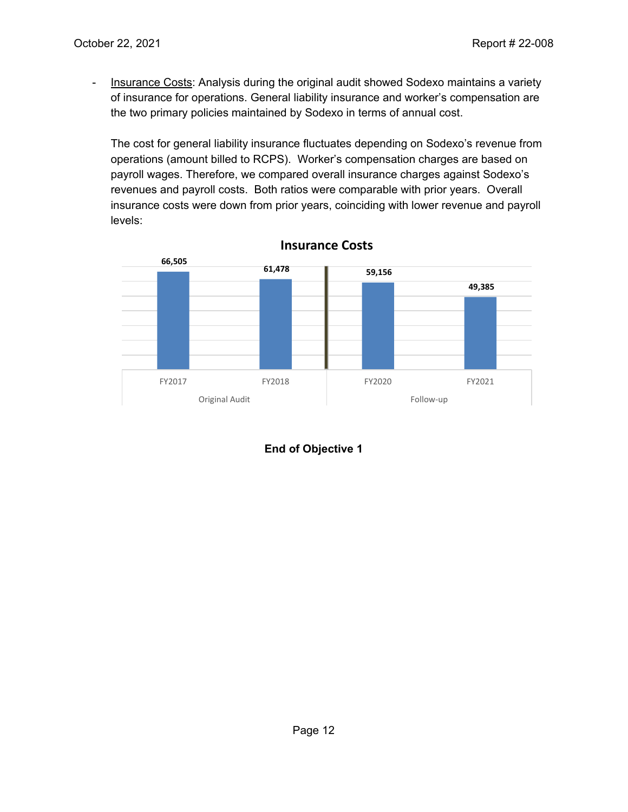- Insurance Costs: Analysis during the original audit showed Sodexo maintains a variety of insurance for operations. General liability insurance and worker's compensation are the two primary policies maintained by Sodexo in terms of annual cost.

The cost for general liability insurance fluctuates depending on Sodexo's revenue from operations (amount billed to RCPS). Worker's compensation charges are based on payroll wages. Therefore, we compared overall insurance charges against Sodexo's revenues and payroll costs. Both ratios were comparable with prior years. Overall insurance costs were down from prior years, coinciding with lower revenue and payroll levels:



**Insurance Costs**

**End of Objective 1**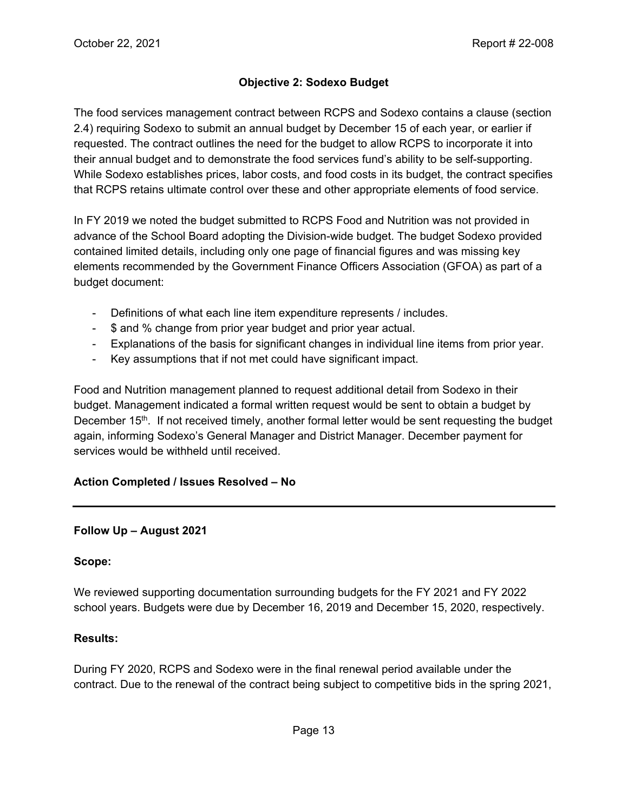# **Objective 2: Sodexo Budget**

The food services management contract between RCPS and Sodexo contains a clause (section 2.4) requiring Sodexo to submit an annual budget by December 15 of each year, or earlier if requested. The contract outlines the need for the budget to allow RCPS to incorporate it into their annual budget and to demonstrate the food services fund's ability to be self-supporting. While Sodexo establishes prices, labor costs, and food costs in its budget, the contract specifies that RCPS retains ultimate control over these and other appropriate elements of food service.

In FY 2019 we noted the budget submitted to RCPS Food and Nutrition was not provided in advance of the School Board adopting the Division-wide budget. The budget Sodexo provided contained limited details, including only one page of financial figures and was missing key elements recommended by the Government Finance Officers Association (GFOA) as part of a budget document:

- Definitions of what each line item expenditure represents / includes.
- \$ and % change from prior year budget and prior year actual.
- Explanations of the basis for significant changes in individual line items from prior year.
- Key assumptions that if not met could have significant impact.

Food and Nutrition management planned to request additional detail from Sodexo in their budget. Management indicated a formal written request would be sent to obtain a budget by December  $15<sup>th</sup>$ . If not received timely, another formal letter would be sent requesting the budget again, informing Sodexo's General Manager and District Manager. December payment for services would be withheld until received.

#### **Action Completed / Issues Resolved – No**

#### **Follow Up – August 2021**

#### **Scope:**

We reviewed supporting documentation surrounding budgets for the FY 2021 and FY 2022 school years. Budgets were due by December 16, 2019 and December 15, 2020, respectively.

#### **Results:**

During FY 2020, RCPS and Sodexo were in the final renewal period available under the contract. Due to the renewal of the contract being subject to competitive bids in the spring 2021,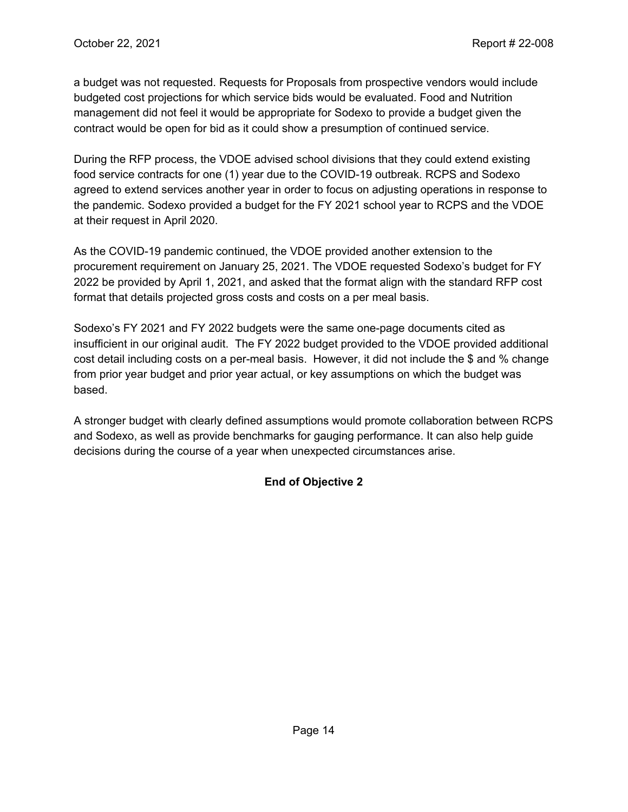a budget was not requested. Requests for Proposals from prospective vendors would include budgeted cost projections for which service bids would be evaluated. Food and Nutrition management did not feel it would be appropriate for Sodexo to provide a budget given the contract would be open for bid as it could show a presumption of continued service.

During the RFP process, the VDOE advised school divisions that they could extend existing food service contracts for one (1) year due to the COVID-19 outbreak. RCPS and Sodexo agreed to extend services another year in order to focus on adjusting operations in response to the pandemic. Sodexo provided a budget for the FY 2021 school year to RCPS and the VDOE at their request in April 2020.

As the COVID-19 pandemic continued, the VDOE provided another extension to the procurement requirement on January 25, 2021. The VDOE requested Sodexo's budget for FY 2022 be provided by April 1, 2021, and asked that the format align with the standard RFP cost format that details projected gross costs and costs on a per meal basis.

Sodexo's FY 2021 and FY 2022 budgets were the same one-page documents cited as insufficient in our original audit. The FY 2022 budget provided to the VDOE provided additional cost detail including costs on a per-meal basis. However, it did not include the \$ and % change from prior year budget and prior year actual, or key assumptions on which the budget was based.

A stronger budget with clearly defined assumptions would promote collaboration between RCPS and Sodexo, as well as provide benchmarks for gauging performance. It can also help guide decisions during the course of a year when unexpected circumstances arise.

### **End of Objective 2**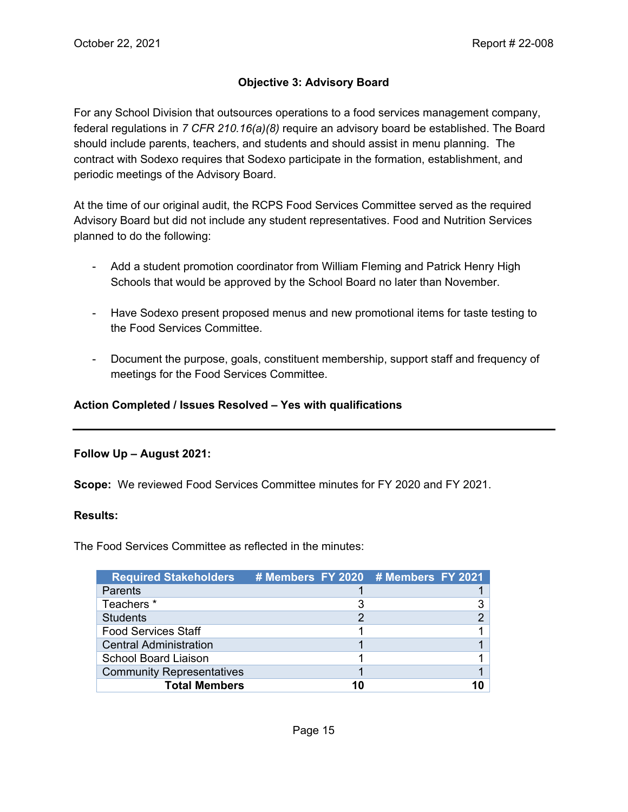#### **Objective 3: Advisory Board**

For any School Division that outsources operations to a food services management company, federal regulations in *7 CFR 210.16(a)(8)* require an advisory board be established. The Board should include parents, teachers, and students and should assist in menu planning. The contract with Sodexo requires that Sodexo participate in the formation, establishment, and periodic meetings of the Advisory Board.

At the time of our original audit, the RCPS Food Services Committee served as the required Advisory Board but did not include any student representatives. Food and Nutrition Services planned to do the following:

- Add a student promotion coordinator from William Fleming and Patrick Henry High Schools that would be approved by the School Board no later than November.
- Have Sodexo present proposed menus and new promotional items for taste testing to the Food Services Committee.
- Document the purpose, goals, constituent membership, support staff and frequency of meetings for the Food Services Committee.

#### **Action Completed / Issues Resolved – Yes with qualifications**

#### **Follow Up – August 2021:**

**Scope:** We reviewed Food Services Committee minutes for FY 2020 and FY 2021.

#### **Results:**

The Food Services Committee as reflected in the minutes:

| <b>Required Stakeholders</b>     | # Members FY 2020 # Members FY 2021 |  |
|----------------------------------|-------------------------------------|--|
| <b>Parents</b>                   |                                     |  |
| Teachers <sup>*</sup>            |                                     |  |
| <b>Students</b>                  |                                     |  |
| <b>Food Services Staff</b>       |                                     |  |
| <b>Central Administration</b>    |                                     |  |
| <b>School Board Liaison</b>      |                                     |  |
| <b>Community Representatives</b> |                                     |  |
| <b>Total Members</b>             |                                     |  |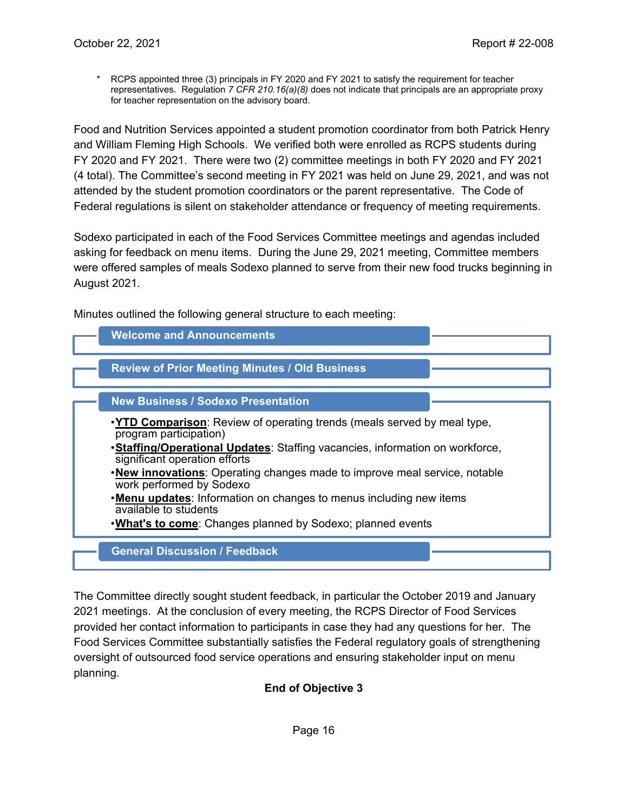\* RCPS appointed three (3) principals in FY 2020 and FY 2021 to satisfy the requirement for teacher representatives. Regulation *7 CFR 210.16(a)(8)* does not indicate that principals are an appropriate proxy for teacher representation on the advisory board.

Food and Nutrition Services appointed a student promotion coordinator from both Patrick Henry and William Fleming High Schools. We verified both were enrolled as RCPS students during FY 2020 and FY 2021. There were two (2) committee meetings in both FY 2020 and FY 2021 (4 total). The Committee's second meeting in FY 2021 was held on June 29, 2021, and was not attended by the student promotion coordinators or the parent representative. The Code of Federal regulations is silent on stakeholder attendance or frequency of meeting requirements.

Sodexo participated in each of the Food Services Committee meetings and agendas included asking for feedback on menu items. During the June 29, 2021 meeting, Committee members were offered samples of meals Sodexo planned to serve from their new food trucks beginning in August 2021.

Minutes outlined the following general structure to each meeting:



The Committee directly sought student feedback, in particular the October 2019 and January 2021 meetings. At the conclusion of every meeting, the RCPS Director of Food Services provided her contact information to participants in case they had any questions for her. The Food Services Committee substantially satisfies the Federal regulatory goals of strengthening oversight of outsourced food service operations and ensuring stakeholder input on menu planning.

**End of Objective 3**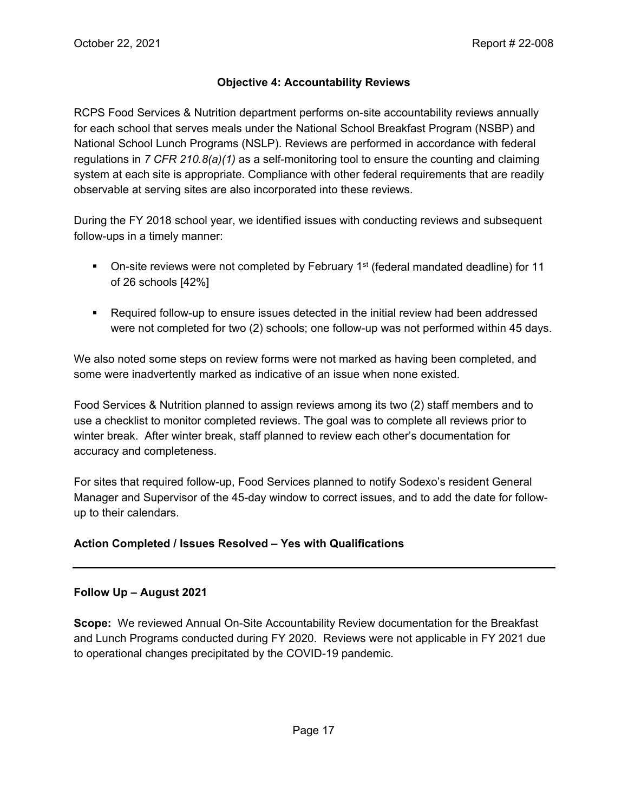#### **Objective 4: Accountability Reviews**

RCPS Food Services & Nutrition department performs on-site accountability reviews annually for each school that serves meals under the National School Breakfast Program (NSBP) and National School Lunch Programs (NSLP). Reviews are performed in accordance with federal regulations in *7 CFR 210.8(a)(1)* as a self-monitoring tool to ensure the counting and claiming system at each site is appropriate. Compliance with other federal requirements that are readily observable at serving sites are also incorporated into these reviews.

During the FY 2018 school year, we identified issues with conducting reviews and subsequent follow-ups in a timely manner:

- $\blacksquare$  On-site reviews were not completed by February 1<sup>st</sup> (federal mandated deadline) for 11 of 26 schools [42%]
- Required follow-up to ensure issues detected in the initial review had been addressed were not completed for two (2) schools; one follow-up was not performed within 45 days.

We also noted some steps on review forms were not marked as having been completed, and some were inadvertently marked as indicative of an issue when none existed.

Food Services & Nutrition planned to assign reviews among its two (2) staff members and to use a checklist to monitor completed reviews. The goal was to complete all reviews prior to winter break. After winter break, staff planned to review each other's documentation for accuracy and completeness.

For sites that required follow-up, Food Services planned to notify Sodexo's resident General Manager and Supervisor of the 45-day window to correct issues, and to add the date for followup to their calendars.

### **Action Completed / Issues Resolved – Yes with Qualifications**

#### **Follow Up – August 2021**

**Scope:** We reviewed Annual On-Site Accountability Review documentation for the Breakfast and Lunch Programs conducted during FY 2020. Reviews were not applicable in FY 2021 due to operational changes precipitated by the COVID-19 pandemic.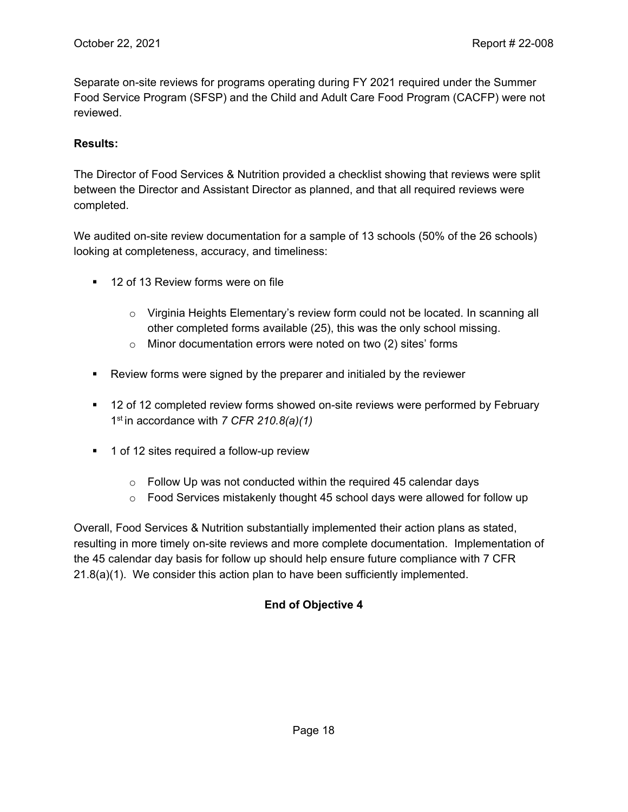Separate on-site reviews for programs operating during FY 2021 required under the Summer Food Service Program (SFSP) and the Child and Adult Care Food Program (CACFP) were not reviewed.

#### **Results:**

The Director of Food Services & Nutrition provided a checklist showing that reviews were split between the Director and Assistant Director as planned, and that all required reviews were completed.

We audited on-site review documentation for a sample of 13 schools (50% of the 26 schools) looking at completeness, accuracy, and timeliness:

- **12 of 13 Review forms were on file** 
	- $\circ$  Virginia Heights Elementary's review form could not be located. In scanning all other completed forms available (25), this was the only school missing.
	- o Minor documentation errors were noted on two (2) sites' forms
- Review forms were signed by the preparer and initialed by the reviewer
- **12 of 12 completed review forms showed on-site reviews were performed by February** 1st in accordance with *7 CFR 210.8(a)(1)*
- 1 of 12 sites required a follow-up review
	- $\circ$  Follow Up was not conducted within the required 45 calendar days
	- $\circ$  Food Services mistakenly thought 45 school days were allowed for follow up

Overall, Food Services & Nutrition substantially implemented their action plans as stated, resulting in more timely on-site reviews and more complete documentation. Implementation of the 45 calendar day basis for follow up should help ensure future compliance with 7 CFR 21.8(a)(1). We consider this action plan to have been sufficiently implemented.

### **End of Objective 4**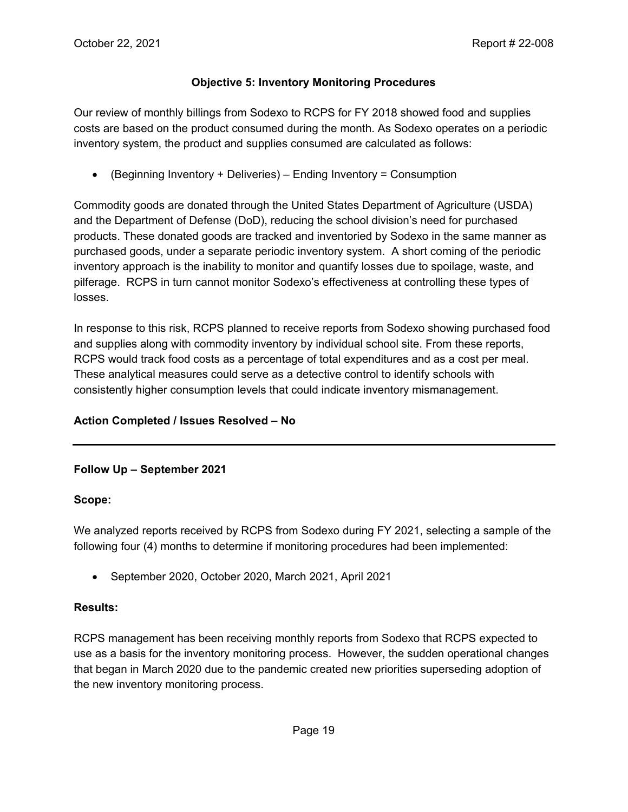#### **Objective 5: Inventory Monitoring Procedures**

Our review of monthly billings from Sodexo to RCPS for FY 2018 showed food and supplies costs are based on the product consumed during the month. As Sodexo operates on a periodic inventory system, the product and supplies consumed are calculated as follows:

• (Beginning Inventory + Deliveries) – Ending Inventory = Consumption

Commodity goods are donated through the United States Department of Agriculture (USDA) and the Department of Defense (DoD), reducing the school division's need for purchased products. These donated goods are tracked and inventoried by Sodexo in the same manner as purchased goods, under a separate periodic inventory system. A short coming of the periodic inventory approach is the inability to monitor and quantify losses due to spoilage, waste, and pilferage. RCPS in turn cannot monitor Sodexo's effectiveness at controlling these types of losses.

In response to this risk, RCPS planned to receive reports from Sodexo showing purchased food and supplies along with commodity inventory by individual school site. From these reports, RCPS would track food costs as a percentage of total expenditures and as a cost per meal. These analytical measures could serve as a detective control to identify schools with consistently higher consumption levels that could indicate inventory mismanagement.

#### **Action Completed / Issues Resolved – No**

#### **Follow Up – September 2021**

#### **Scope:**

We analyzed reports received by RCPS from Sodexo during FY 2021, selecting a sample of the following four (4) months to determine if monitoring procedures had been implemented:

• September 2020, October 2020, March 2021, April 2021

#### **Results:**

RCPS management has been receiving monthly reports from Sodexo that RCPS expected to use as a basis for the inventory monitoring process. However, the sudden operational changes that began in March 2020 due to the pandemic created new priorities superseding adoption of the new inventory monitoring process.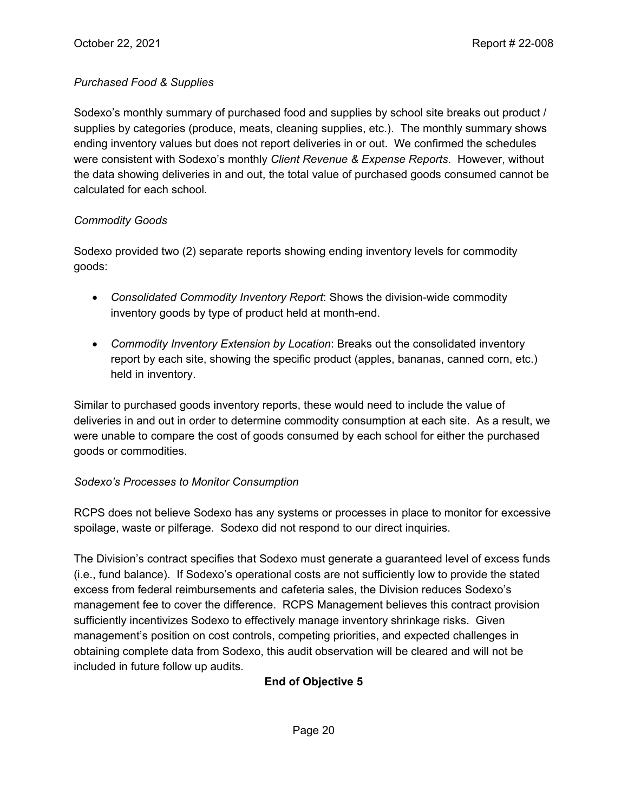#### *Purchased Food & Supplies*

Sodexo's monthly summary of purchased food and supplies by school site breaks out product / supplies by categories (produce, meats, cleaning supplies, etc.). The monthly summary shows ending inventory values but does not report deliveries in or out. We confirmed the schedules were consistent with Sodexo's monthly *Client Revenue & Expense Reports*. However, without the data showing deliveries in and out, the total value of purchased goods consumed cannot be calculated for each school.

#### *Commodity Goods*

Sodexo provided two (2) separate reports showing ending inventory levels for commodity goods:

- *Consolidated Commodity Inventory Report*: Shows the division-wide commodity inventory goods by type of product held at month-end.
- *Commodity Inventory Extension by Location*: Breaks out the consolidated inventory report by each site, showing the specific product (apples, bananas, canned corn, etc.) held in inventory.

Similar to purchased goods inventory reports, these would need to include the value of deliveries in and out in order to determine commodity consumption at each site. As a result, we were unable to compare the cost of goods consumed by each school for either the purchased goods or commodities.

#### *Sodexo's Processes to Monitor Consumption*

RCPS does not believe Sodexo has any systems or processes in place to monitor for excessive spoilage, waste or pilferage. Sodexo did not respond to our direct inquiries.

The Division's contract specifies that Sodexo must generate a guaranteed level of excess funds (i.e., fund balance). If Sodexo's operational costs are not sufficiently low to provide the stated excess from federal reimbursements and cafeteria sales, the Division reduces Sodexo's management fee to cover the difference. RCPS Management believes this contract provision sufficiently incentivizes Sodexo to effectively manage inventory shrinkage risks. Given management's position on cost controls, competing priorities, and expected challenges in obtaining complete data from Sodexo, this audit observation will be cleared and will not be included in future follow up audits.

### **End of Objective 5**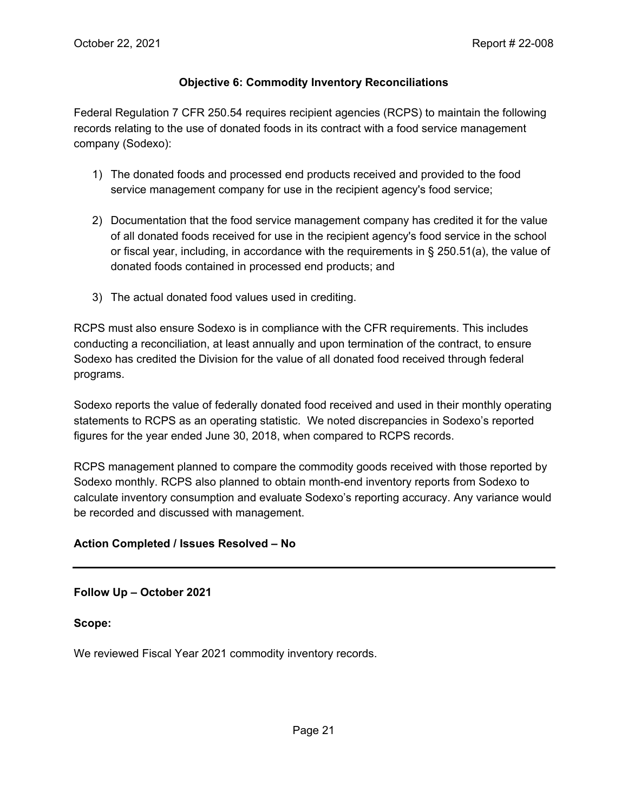#### **Objective 6: Commodity Inventory Reconciliations**

Federal Regulation 7 CFR 250.54 requires recipient agencies (RCPS) to maintain the following records relating to the use of donated foods in its contract with a food service management company (Sodexo):

- 1) The donated foods and processed end products received and provided to the food service management company for use in the recipient agency's food service;
- 2) Documentation that the food service management company has credited it for the value of all donated foods received for use in the recipient agency's food service in the school or fiscal year, including, in accordance with the requirements in § 250.51(a), the value of donated foods contained in processed end products; and
- 3) The actual donated food values used in crediting.

RCPS must also ensure Sodexo is in compliance with the CFR requirements. This includes conducting a reconciliation, at least annually and upon termination of the contract, to ensure Sodexo has credited the Division for the value of all donated food received through federal programs.

Sodexo reports the value of federally donated food received and used in their monthly operating statements to RCPS as an operating statistic. We noted discrepancies in Sodexo's reported figures for the year ended June 30, 2018, when compared to RCPS records.

RCPS management planned to compare the commodity goods received with those reported by Sodexo monthly. RCPS also planned to obtain month-end inventory reports from Sodexo to calculate inventory consumption and evaluate Sodexo's reporting accuracy. Any variance would be recorded and discussed with management.

#### **Action Completed / Issues Resolved – No**

**Follow Up – October 2021** 

#### **Scope:**

We reviewed Fiscal Year 2021 commodity inventory records.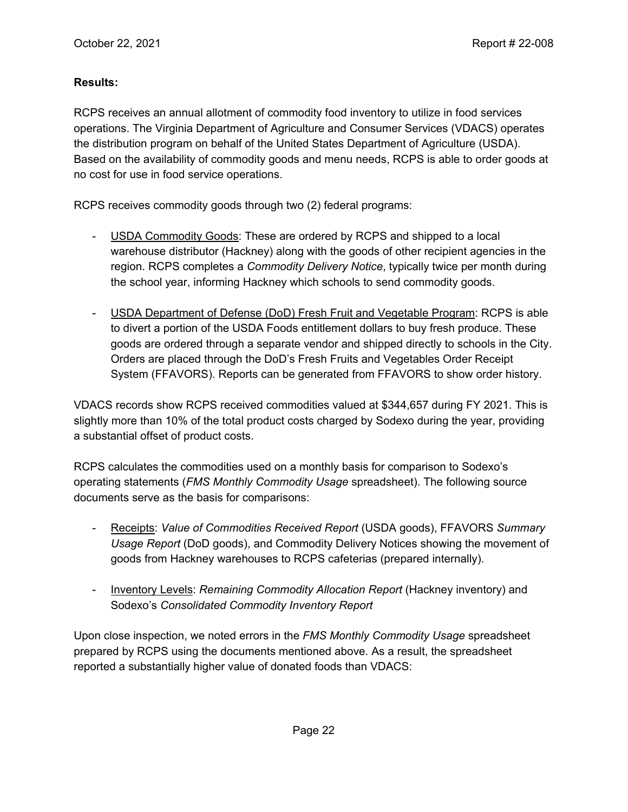#### **Results:**

RCPS receives an annual allotment of commodity food inventory to utilize in food services operations. The Virginia Department of Agriculture and Consumer Services (VDACS) operates the distribution program on behalf of the United States Department of Agriculture (USDA). Based on the availability of commodity goods and menu needs, RCPS is able to order goods at no cost for use in food service operations.

RCPS receives commodity goods through two (2) federal programs:

- USDA Commodity Goods: These are ordered by RCPS and shipped to a local warehouse distributor (Hackney) along with the goods of other recipient agencies in the region. RCPS completes a *Commodity Delivery Notice*, typically twice per month during the school year, informing Hackney which schools to send commodity goods.
- USDA Department of Defense (DoD) Fresh Fruit and Vegetable Program: RCPS is able to divert a portion of the USDA Foods entitlement dollars to buy fresh produce. These goods are ordered through a separate vendor and shipped directly to schools in the City. Orders are placed through the DoD's Fresh Fruits and Vegetables Order Receipt System (FFAVORS). Reports can be generated from FFAVORS to show order history.

VDACS records show RCPS received commodities valued at \$344,657 during FY 2021. This is slightly more than 10% of the total product costs charged by Sodexo during the year, providing a substantial offset of product costs.

RCPS calculates the commodities used on a monthly basis for comparison to Sodexo's operating statements (*FMS Monthly Commodity Usage* spreadsheet). The following source documents serve as the basis for comparisons:

- Receipts: *Value of Commodities Received Report* (USDA goods), FFAVORS *Summary Usage Report* (DoD goods), and Commodity Delivery Notices showing the movement of goods from Hackney warehouses to RCPS cafeterias (prepared internally).
- Inventory Levels: *Remaining Commodity Allocation Report* (Hackney inventory) and Sodexo's *Consolidated Commodity Inventory Report*

Upon close inspection, we noted errors in the *FMS Monthly Commodity Usage* spreadsheet prepared by RCPS using the documents mentioned above. As a result, the spreadsheet reported a substantially higher value of donated foods than VDACS: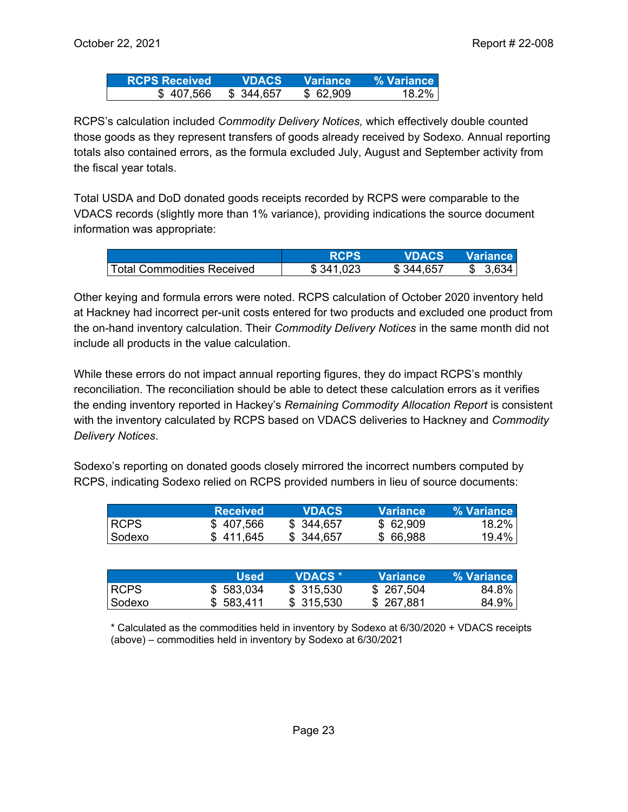| <b>RCPS Received</b> | <b>VDACS</b> | $\blacktriangleright$ Variance $\blacktriangleright$ | □% Variance i |
|----------------------|--------------|------------------------------------------------------|---------------|
| \$407,566            | \$344,657    | \$62,909                                             | $18.2\%$      |

RCPS's calculation included *Commodity Delivery Notices,* which effectively double counted those goods as they represent transfers of goods already received by Sodexo*.* Annual reporting totals also contained errors, as the formula excluded July, August and September activity from the fiscal year totals.

Total USDA and DoD donated goods receipts recorded by RCPS were comparable to the VDACS records (slightly more than 1% variance), providing indications the source document information was appropriate:

|                            | <b>RCPS</b> | VDACS     | <b>Wariance</b> |
|----------------------------|-------------|-----------|-----------------|
| Total Commodities Received | \$341,023   | \$344,657 | \$3.634         |

Other keying and formula errors were noted. RCPS calculation of October 2020 inventory held at Hackney had incorrect per-unit costs entered for two products and excluded one product from the on-hand inventory calculation. Their *Commodity Delivery Notices* in the same month did not include all products in the value calculation.

While these errors do not impact annual reporting figures, they do impact RCPS's monthly reconciliation. The reconciliation should be able to detect these calculation errors as it verifies the ending inventory reported in Hackey's *Remaining Commodity Allocation Report* is consistent with the inventory calculated by RCPS based on VDACS deliveries to Hackney and *Commodity Delivery Notices*.

Sodexo's reporting on donated goods closely mirrored the incorrect numbers computed by RCPS, indicating Sodexo relied on RCPS provided numbers in lieu of source documents:

|        | <b>Received</b> | <b>VDACS</b> | <b>Variance</b> | % Variance |
|--------|-----------------|--------------|-----------------|------------|
| ∣RCPS. | \$407,566       | \$ 344,657   | \$62,909        | 18.2%      |
| Sodexo | \$411.645       | \$ 344,657   | \$66,988        | $19.4\%$   |

|             | Used      | <b>VDACS</b> * | <b>Variance</b> | % Variance I |
|-------------|-----------|----------------|-----------------|--------------|
| <b>RCPS</b> | \$583,034 | \$315,530      | \$ 267,504      | 84.8%        |
| Sodexo      | \$583,411 | \$315,530      | \$267,881       | 84.9%        |

\* Calculated as the commodities held in inventory by Sodexo at 6/30/2020 + VDACS receipts (above) – commodities held in inventory by Sodexo at 6/30/2021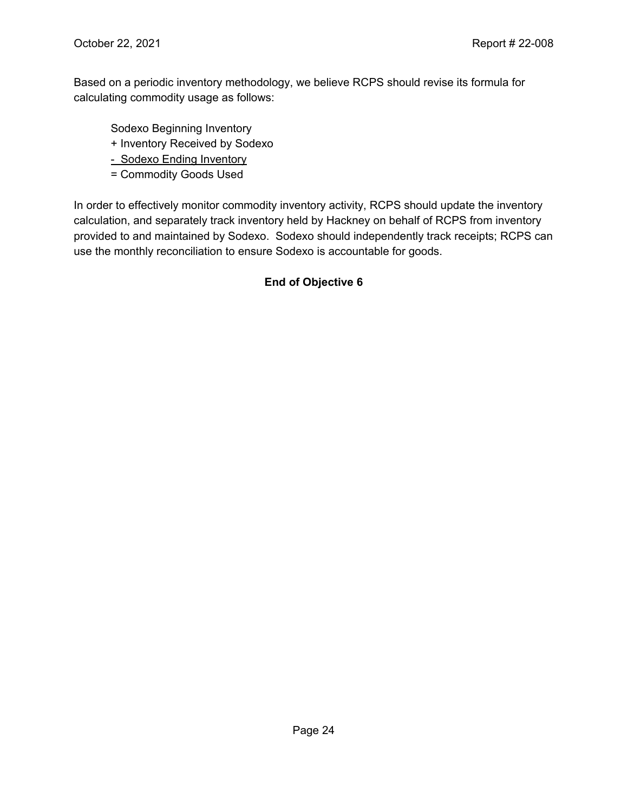Based on a periodic inventory methodology, we believe RCPS should revise its formula for calculating commodity usage as follows:

Sodexo Beginning Inventory

+ Inventory Received by Sodexo

- Sodexo Ending Inventory

= Commodity Goods Used

In order to effectively monitor commodity inventory activity, RCPS should update the inventory calculation, and separately track inventory held by Hackney on behalf of RCPS from inventory provided to and maintained by Sodexo. Sodexo should independently track receipts; RCPS can use the monthly reconciliation to ensure Sodexo is accountable for goods.

#### **End of Objective 6**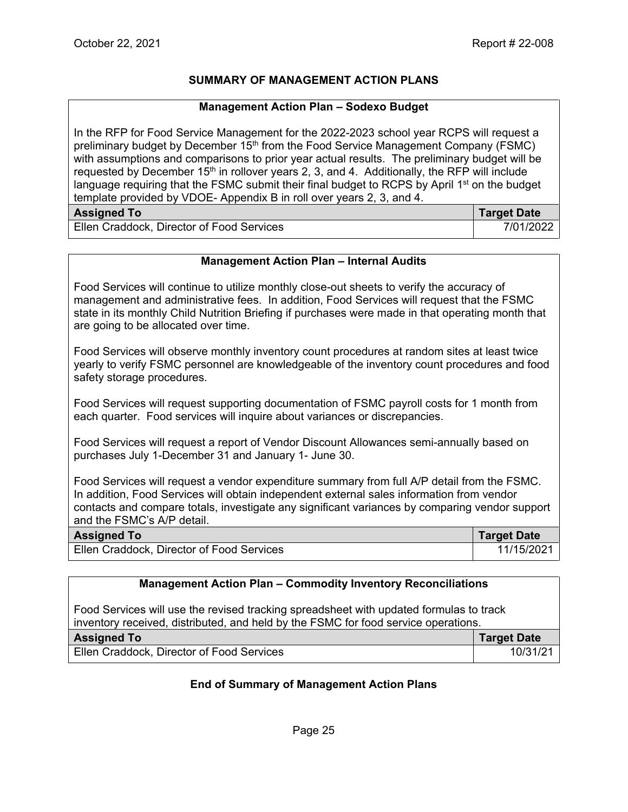#### **SUMMARY OF MANAGEMENT ACTION PLANS**

#### **Management Action Plan – Sodexo Budget**

In the RFP for Food Service Management for the 2022-2023 school year RCPS will request a preliminary budget by December 15th from the Food Service Management Company (FSMC) with assumptions and comparisons to prior year actual results. The preliminary budget will be requested by December 15<sup>th</sup> in rollover years 2, 3, and 4. Additionally, the RFP will include language requiring that the FSMC submit their final budget to RCPS by April  $1<sup>st</sup>$  on the budget template provided by VDOE- Appendix B in roll over years 2, 3, and 4.

| <b>Assigned To</b>                        | <b>Target Date</b> |
|-------------------------------------------|--------------------|
| Ellen Craddock, Director of Food Services | 7/01/2022          |

#### **Management Action Plan – Internal Audits**

Food Services will continue to utilize monthly close-out sheets to verify the accuracy of management and administrative fees. In addition, Food Services will request that the FSMC state in its monthly Child Nutrition Briefing if purchases were made in that operating month that are going to be allocated over time.

Food Services will observe monthly inventory count procedures at random sites at least twice yearly to verify FSMC personnel are knowledgeable of the inventory count procedures and food safety storage procedures.

Food Services will request supporting documentation of FSMC payroll costs for 1 month from each quarter. Food services will inquire about variances or discrepancies.

Food Services will request a report of Vendor Discount Allowances semi-annually based on purchases July 1-December 31 and January 1- June 30.

Food Services will request a vendor expenditure summary from full A/P detail from the FSMC. In addition, Food Services will obtain independent external sales information from vendor contacts and compare totals, investigate any significant variances by comparing vendor support and the FSMC's A/P detail.

| <b>Assigned To</b>                        | <b>Target Date</b> |
|-------------------------------------------|--------------------|
| Ellen Craddock, Director of Food Services | 11/15/2021         |

#### **Management Action Plan – Commodity Inventory Reconciliations**

Food Services will use the revised tracking spreadsheet with updated formulas to track inventory received, distributed, and held by the FSMC for food service operations. **Assigned To Target Date** Ellen Craddock, Director of Food Services 10031/21 10/31/21

#### **End of Summary of Management Action Plans**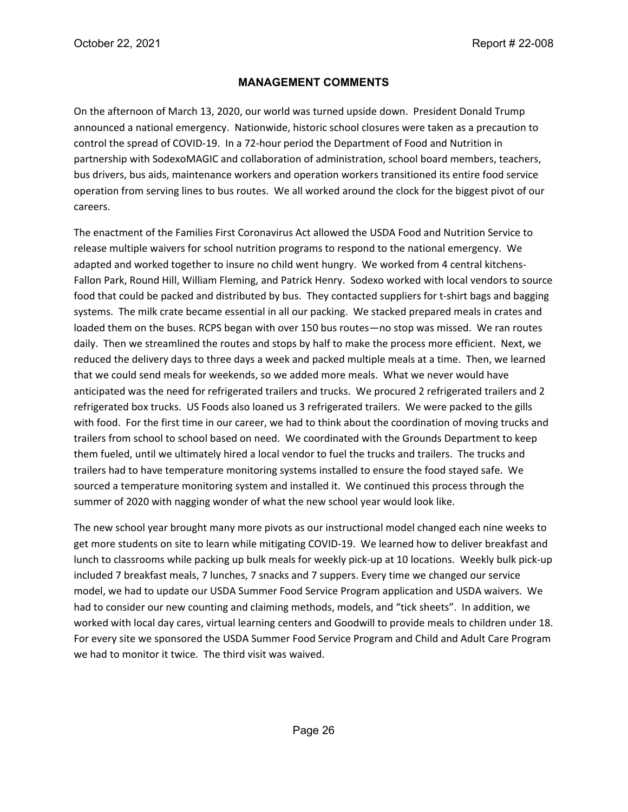#### **MANAGEMENT COMMENTS**

On the afternoon of March 13, 2020, our world was turned upside down. President Donald Trump announced a national emergency. Nationwide, historic school closures were taken as a precaution to control the spread of COVID-19. In a 72-hour period the Department of Food and Nutrition in partnership with SodexoMAGIC and collaboration of administration, school board members, teachers, bus drivers, bus aids, maintenance workers and operation workers transitioned its entire food service operation from serving lines to bus routes. We all worked around the clock for the biggest pivot of our careers.

The enactment of the Families First Coronavirus Act allowed the USDA Food and Nutrition Service to release multiple waivers for school nutrition programs to respond to the national emergency. We adapted and worked together to insure no child went hungry. We worked from 4 central kitchens-Fallon Park, Round Hill, William Fleming, and Patrick Henry. Sodexo worked with local vendors to source food that could be packed and distributed by bus. They contacted suppliers for t-shirt bags and bagging systems. The milk crate became essential in all our packing. We stacked prepared meals in crates and loaded them on the buses. RCPS began with over 150 bus routes—no stop was missed. We ran routes daily. Then we streamlined the routes and stops by half to make the process more efficient. Next, we reduced the delivery days to three days a week and packed multiple meals at a time. Then, we learned that we could send meals for weekends, so we added more meals. What we never would have anticipated was the need for refrigerated trailers and trucks. We procured 2 refrigerated trailers and 2 refrigerated box trucks. US Foods also loaned us 3 refrigerated trailers. We were packed to the gills with food. For the first time in our career, we had to think about the coordination of moving trucks and trailers from school to school based on need. We coordinated with the Grounds Department to keep them fueled, until we ultimately hired a local vendor to fuel the trucks and trailers. The trucks and trailers had to have temperature monitoring systems installed to ensure the food stayed safe. We sourced a temperature monitoring system and installed it. We continued this process through the summer of 2020 with nagging wonder of what the new school year would look like.

The new school year brought many more pivots as our instructional model changed each nine weeks to get more students on site to learn while mitigating COVID-19. We learned how to deliver breakfast and lunch to classrooms while packing up bulk meals for weekly pick-up at 10 locations. Weekly bulk pick-up included 7 breakfast meals, 7 lunches, 7 snacks and 7 suppers. Every time we changed our service model, we had to update our USDA Summer Food Service Program application and USDA waivers. We had to consider our new counting and claiming methods, models, and "tick sheets". In addition, we worked with local day cares, virtual learning centers and Goodwill to provide meals to children under 18. For every site we sponsored the USDA Summer Food Service Program and Child and Adult Care Program we had to monitor it twice. The third visit was waived.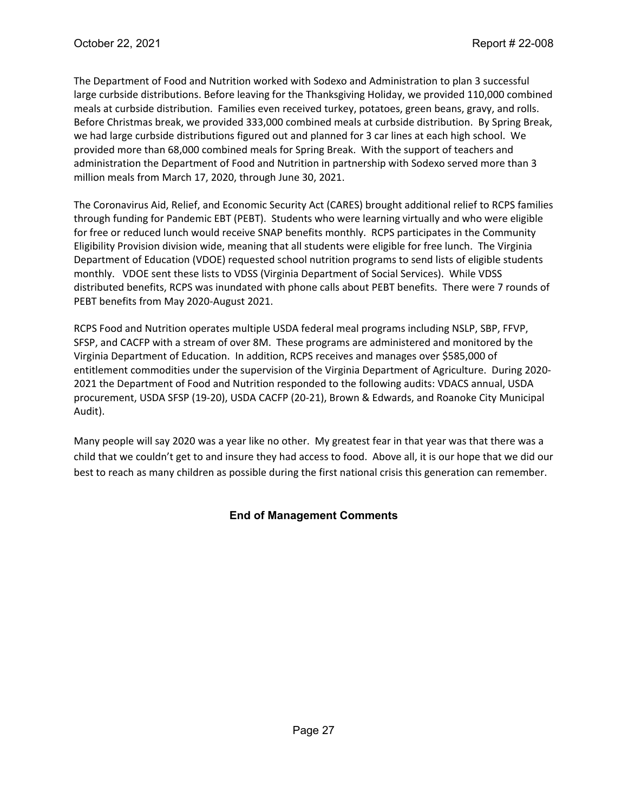The Department of Food and Nutrition worked with Sodexo and Administration to plan 3 successful large curbside distributions. Before leaving for the Thanksgiving Holiday, we provided 110,000 combined meals at curbside distribution. Families even received turkey, potatoes, green beans, gravy, and rolls. Before Christmas break, we provided 333,000 combined meals at curbside distribution. By Spring Break, we had large curbside distributions figured out and planned for 3 car lines at each high school. We provided more than 68,000 combined meals for Spring Break. With the support of teachers and administration the Department of Food and Nutrition in partnership with Sodexo served more than 3 million meals from March 17, 2020, through June 30, 2021.

The Coronavirus Aid, Relief, and Economic Security Act (CARES) brought additional relief to RCPS families through funding for Pandemic EBT (PEBT). Students who were learning virtually and who were eligible for free or reduced lunch would receive SNAP benefits monthly. RCPS participates in the Community Eligibility Provision division wide, meaning that all students were eligible for free lunch. The Virginia Department of Education (VDOE) requested school nutrition programs to send lists of eligible students monthly. VDOE sent these lists to VDSS (Virginia Department of Social Services). While VDSS distributed benefits, RCPS was inundated with phone calls about PEBT benefits. There were 7 rounds of PEBT benefits from May 2020-August 2021.

RCPS Food and Nutrition operates multiple USDA federal meal programs including NSLP, SBP, FFVP, SFSP, and CACFP with a stream of over 8M. These programs are administered and monitored by the Virginia Department of Education. In addition, RCPS receives and manages over \$585,000 of entitlement commodities under the supervision of the Virginia Department of Agriculture. During 2020- 2021 the Department of Food and Nutrition responded to the following audits: VDACS annual, USDA procurement, USDA SFSP (19-20), USDA CACFP (20-21), Brown & Edwards, and Roanoke City Municipal Audit).

Many people will say 2020 was a year like no other. My greatest fear in that year was that there was a child that we couldn't get to and insure they had access to food. Above all, it is our hope that we did our best to reach as many children as possible during the first national crisis this generation can remember.

### **End of Management Comments**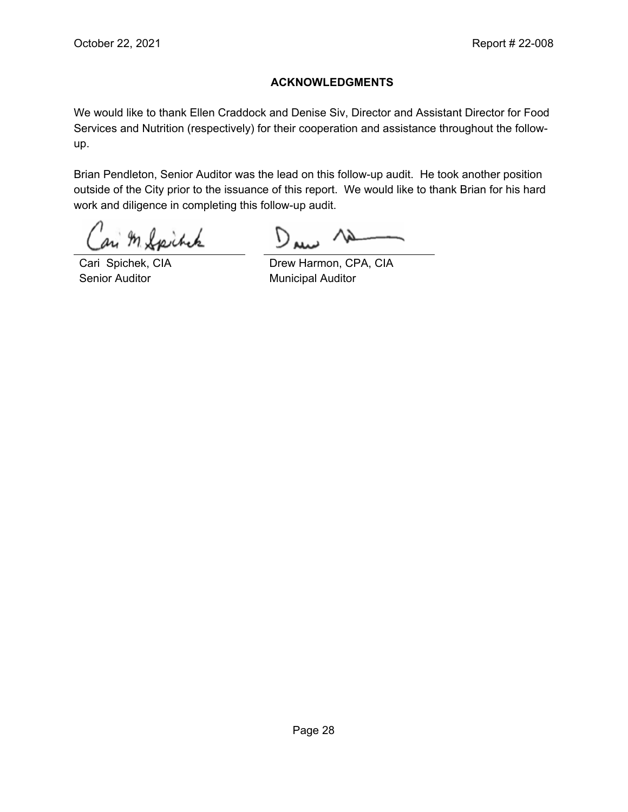#### **ACKNOWLEDGMENTS**

We would like to thank Ellen Craddock and Denise Siv, Director and Assistant Director for Food Services and Nutrition (respectively) for their cooperation and assistance throughout the followup.

Brian Pendleton, Senior Auditor was the lead on this follow-up audit. He took another position outside of the City prior to the issuance of this report. We would like to thank Brian for his hard work and diligence in completing this follow-up audit.

M Spitcher

Senior Auditor **Municipal Auditor** Municipal Auditor

D

Cari Spichek, CIA Drew Harmon, CPA, CIA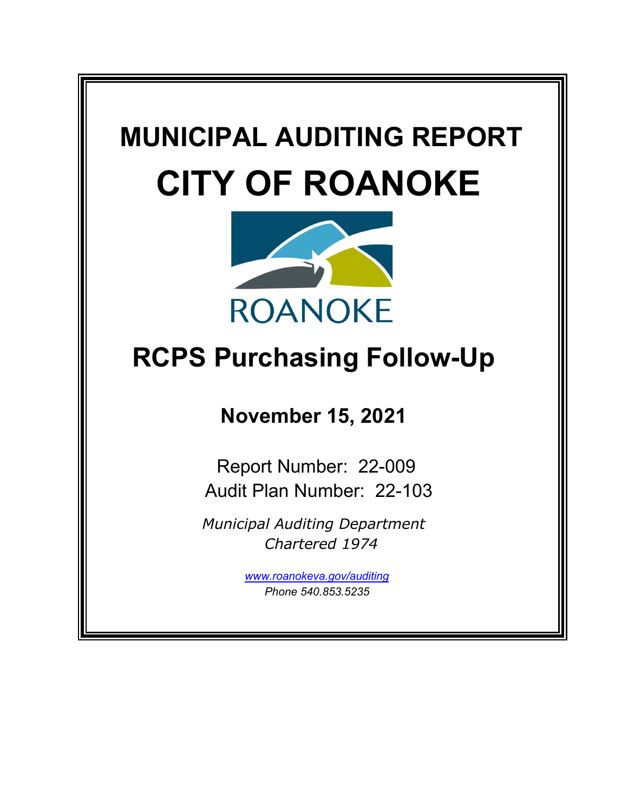# **MUNICIPAL AUDITING REPORT CITY OF ROANOKE**



# **RCPS Purchasing Follow-Up**

# **November 15, 2021**

Report Number: 22-009 Audit Plan Number: 22-103

*Municipal Auditing Department Chartered 1974*

> *[www.roanokeva.gov/](http://www.roanokeva.gov/)auditing Phone 540.853.5235*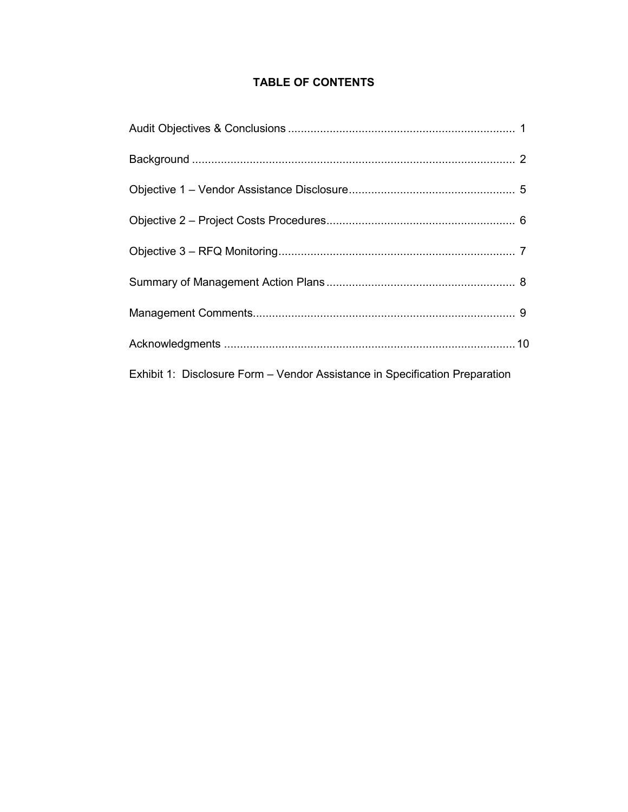# **TABLE OF CONTENTS**

| Exhibit 1: Disclosure Form – Vendor Assistance in Specification Preparation |
|-----------------------------------------------------------------------------|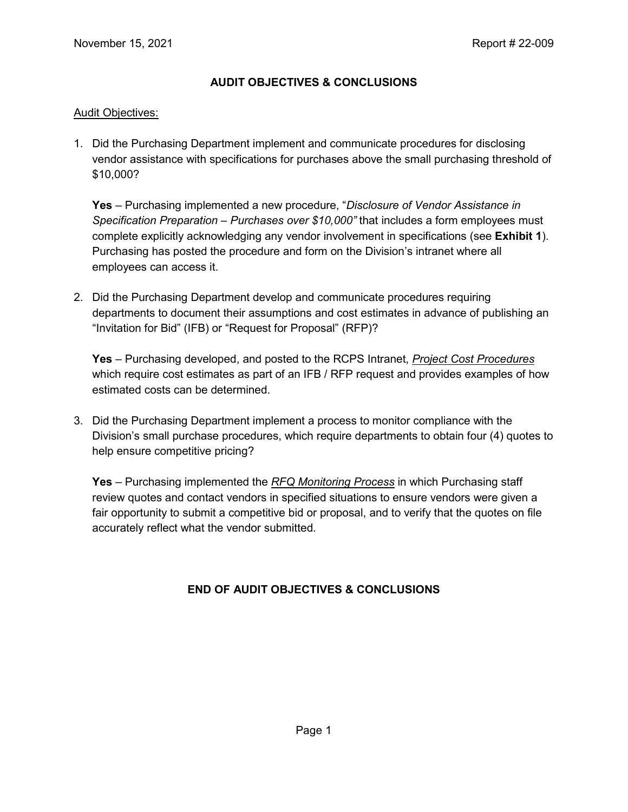#### **AUDIT OBJECTIVES & CONCLUSIONS**

#### Audit Objectives:

1. Did the Purchasing Department implement and communicate procedures for disclosing vendor assistance with specifications for purchases above the small purchasing threshold of \$10,000?

**Yes** – Purchasing implemented a new procedure, "*Disclosure of Vendor Assistance in Specification Preparation – Purchases over \$10,000"* that includes a form employees must complete explicitly acknowledging any vendor involvement in specifications (see **Exhibit 1**). Purchasing has posted the procedure and form on the Division's intranet where all employees can access it.

2. Did the Purchasing Department develop and communicate procedures requiring departments to document their assumptions and cost estimates in advance of publishing an "Invitation for Bid" (IFB) or "Request for Proposal" (RFP)?

**Yes** – Purchasing developed, and posted to the RCPS Intranet, *Project Cost Procedures* which require cost estimates as part of an IFB / RFP request and provides examples of how estimated costs can be determined.

3. Did the Purchasing Department implement a process to monitor compliance with the Division's small purchase procedures, which require departments to obtain four (4) quotes to help ensure competitive pricing?

**Yes** – Purchasing implemented the *RFQ Monitoring Process* in which Purchasing staff review quotes and contact vendors in specified situations to ensure vendors were given a fair opportunity to submit a competitive bid or proposal, and to verify that the quotes on file accurately reflect what the vendor submitted.

### **END OF AUDIT OBJECTIVES & CONCLUSIONS**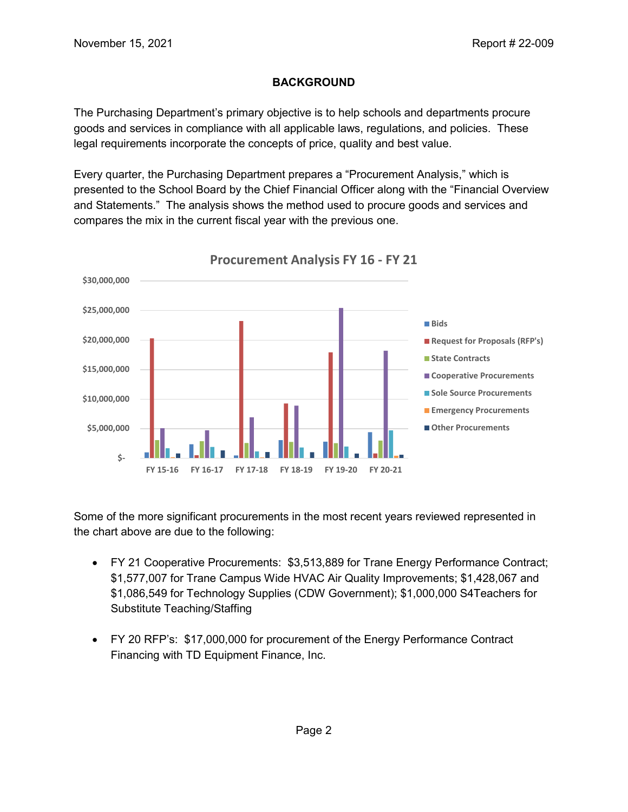### **BACKGROUND**

The Purchasing Department's primary objective is to help schools and departments procure goods and services in compliance with all applicable laws, regulations, and policies. These legal requirements incorporate the concepts of price, quality and best value.

Every quarter, the Purchasing Department prepares a "Procurement Analysis," which is presented to the School Board by the Chief Financial Officer along with the "Financial Overview and Statements." The analysis shows the method used to procure goods and services and compares the mix in the current fiscal year with the previous one.



**Procurement Analysis FY 16 - FY 21** 

Some of the more significant procurements in the most recent years reviewed represented in the chart above are due to the following:

- FY 21 Cooperative Procurements: \$3,513,889 for Trane Energy Performance Contract; \$1,577,007 for Trane Campus Wide HVAC Air Quality Improvements; \$1,428,067 and \$1,086,549 for Technology Supplies (CDW Government); \$1,000,000 S4Teachers for Substitute Teaching/Staffing
- FY 20 RFP's: \$17,000,000 for procurement of the Energy Performance Contract Financing with TD Equipment Finance, Inc.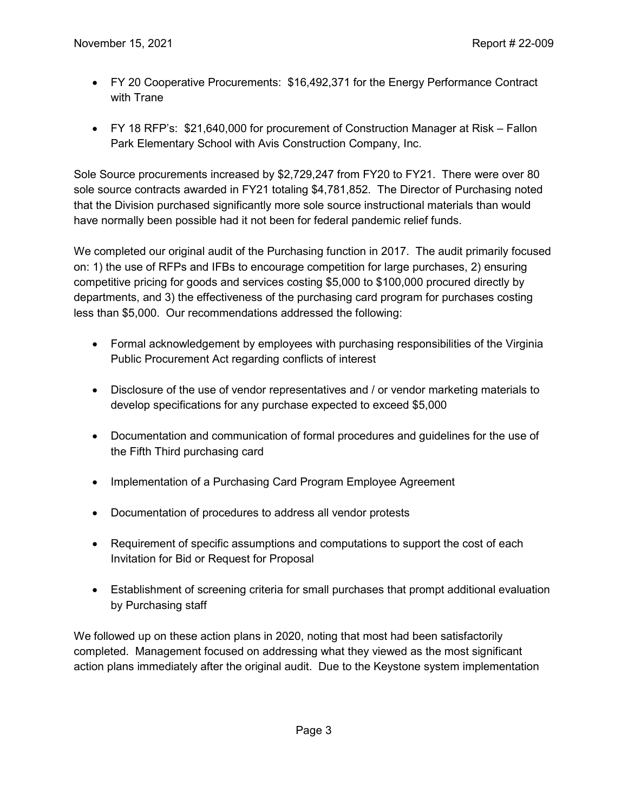- FY 20 Cooperative Procurements: \$16,492,371 for the Energy Performance Contract with Trane
- FY 18 RFP's: \$21,640,000 for procurement of Construction Manager at Risk Fallon Park Elementary School with Avis Construction Company, Inc.

Sole Source procurements increased by \$2,729,247 from FY20 to FY21. There were over 80 sole source contracts awarded in FY21 totaling \$4,781,852. The Director of Purchasing noted that the Division purchased significantly more sole source instructional materials than would have normally been possible had it not been for federal pandemic relief funds.

We completed our original audit of the Purchasing function in 2017. The audit primarily focused on: 1) the use of RFPs and IFBs to encourage competition for large purchases, 2) ensuring competitive pricing for goods and services costing \$5,000 to \$100,000 procured directly by departments, and 3) the effectiveness of the purchasing card program for purchases costing less than \$5,000. Our recommendations addressed the following:

- Formal acknowledgement by employees with purchasing responsibilities of the Virginia Public Procurement Act regarding conflicts of interest
- Disclosure of the use of vendor representatives and / or vendor marketing materials to develop specifications for any purchase expected to exceed \$5,000
- Documentation and communication of formal procedures and guidelines for the use of the Fifth Third purchasing card
- Implementation of a Purchasing Card Program Employee Agreement
- Documentation of procedures to address all vendor protests
- Requirement of specific assumptions and computations to support the cost of each Invitation for Bid or Request for Proposal
- Establishment of screening criteria for small purchases that prompt additional evaluation by Purchasing staff

We followed up on these action plans in 2020, noting that most had been satisfactorily completed. Management focused on addressing what they viewed as the most significant action plans immediately after the original audit. Due to the Keystone system implementation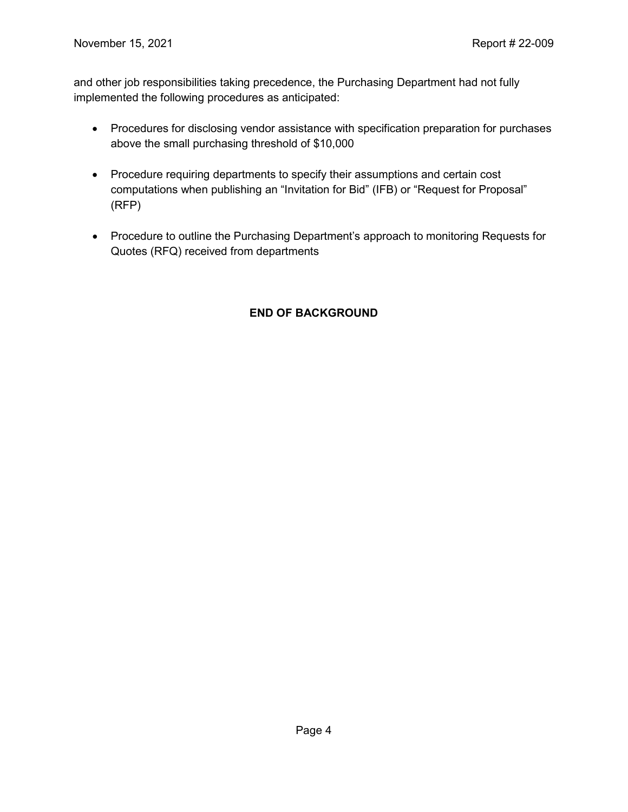and other job responsibilities taking precedence, the Purchasing Department had not fully implemented the following procedures as anticipated:

- Procedures for disclosing vendor assistance with specification preparation for purchases above the small purchasing threshold of \$10,000
- Procedure requiring departments to specify their assumptions and certain cost computations when publishing an "Invitation for Bid" (IFB) or "Request for Proposal" (RFP)
- Procedure to outline the Purchasing Department's approach to monitoring Requests for Quotes (RFQ) received from departments

#### **END OF BACKGROUND**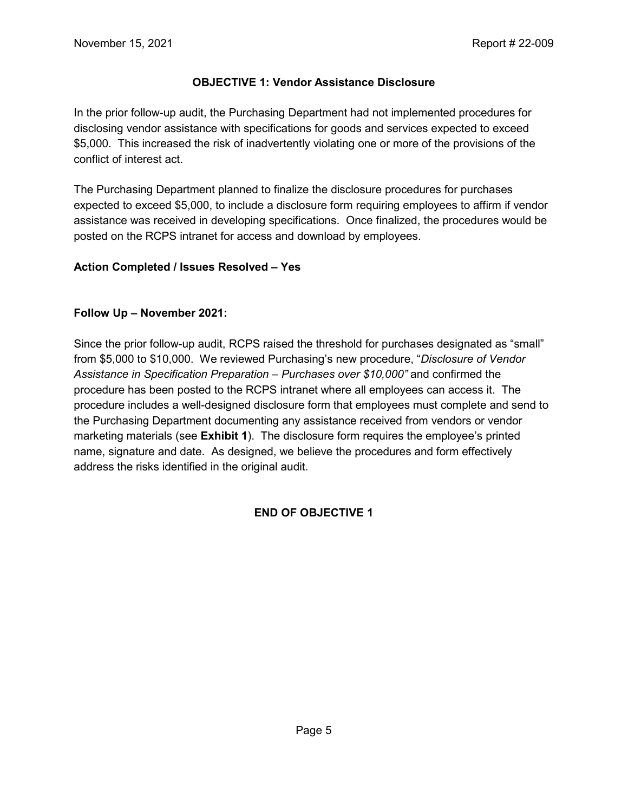#### **OBJECTIVE 1: Vendor Assistance Disclosure**

In the prior follow-up audit, the Purchasing Department had not implemented procedures for disclosing vendor assistance with specifications for goods and services expected to exceed \$5,000. This increased the risk of inadvertently violating one or more of the provisions of the conflict of interest act.

The Purchasing Department planned to finalize the disclosure procedures for purchases expected to exceed \$5,000, to include a disclosure form requiring employees to affirm if vendor assistance was received in developing specifications. Once finalized, the procedures would be posted on the RCPS intranet for access and download by employees.

#### **Action Completed / Issues Resolved – Yes**

#### **Follow Up – November 2021:**

Since the prior follow-up audit, RCPS raised the threshold for purchases designated as "small" from \$5,000 to \$10,000. We reviewed Purchasing's new procedure, "*Disclosure of Vendor Assistance in Specification Preparation – Purchases over \$10,000"* and confirmed the procedure has been posted to the RCPS intranet where all employees can access it. The procedure includes a well-designed disclosure form that employees must complete and send to the Purchasing Department documenting any assistance received from vendors or vendor marketing materials (see **Exhibit 1**). The disclosure form requires the employee's printed name, signature and date. As designed, we believe the procedures and form effectively address the risks identified in the original audit.

#### **END OF OBJECTIVE 1**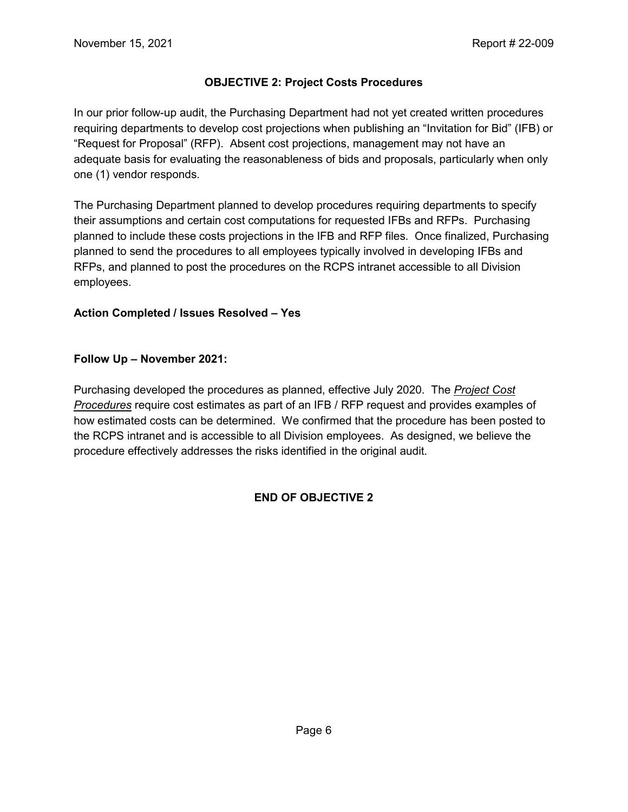#### **OBJECTIVE 2: Project Costs Procedures**

In our prior follow-up audit, the Purchasing Department had not yet created written procedures requiring departments to develop cost projections when publishing an "Invitation for Bid" (IFB) or "Request for Proposal" (RFP). Absent cost projections, management may not have an adequate basis for evaluating the reasonableness of bids and proposals, particularly when only one (1) vendor responds.

The Purchasing Department planned to develop procedures requiring departments to specify their assumptions and certain cost computations for requested IFBs and RFPs. Purchasing planned to include these costs projections in the IFB and RFP files. Once finalized, Purchasing planned to send the procedures to all employees typically involved in developing IFBs and RFPs, and planned to post the procedures on the RCPS intranet accessible to all Division employees.

#### **Action Completed / Issues Resolved – Yes**

#### **Follow Up – November 2021:**

Purchasing developed the procedures as planned, effective July 2020. The *Project Cost Procedures* require cost estimates as part of an IFB / RFP request and provides examples of how estimated costs can be determined. We confirmed that the procedure has been posted to the RCPS intranet and is accessible to all Division employees. As designed, we believe the procedure effectively addresses the risks identified in the original audit.

#### **END OF OBJECTIVE 2**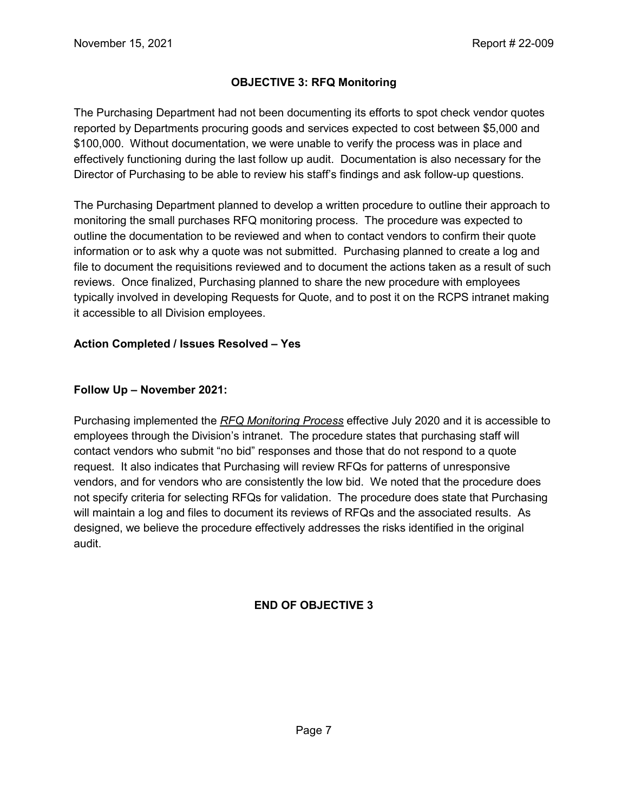#### **OBJECTIVE 3: RFQ Monitoring**

The Purchasing Department had not been documenting its efforts to spot check vendor quotes reported by Departments procuring goods and services expected to cost between \$5,000 and \$100,000. Without documentation, we were unable to verify the process was in place and effectively functioning during the last follow up audit. Documentation is also necessary for the Director of Purchasing to be able to review his staff's findings and ask follow-up questions.

The Purchasing Department planned to develop a written procedure to outline their approach to monitoring the small purchases RFQ monitoring process. The procedure was expected to outline the documentation to be reviewed and when to contact vendors to confirm their quote information or to ask why a quote was not submitted. Purchasing planned to create a log and file to document the requisitions reviewed and to document the actions taken as a result of such reviews. Once finalized, Purchasing planned to share the new procedure with employees typically involved in developing Requests for Quote, and to post it on the RCPS intranet making it accessible to all Division employees.

#### **Action Completed / Issues Resolved – Yes**

#### **Follow Up – November 2021:**

Purchasing implemented the *RFQ Monitoring Process* effective July 2020 and it is accessible to employees through the Division's intranet. The procedure states that purchasing staff will contact vendors who submit "no bid" responses and those that do not respond to a quote request. It also indicates that Purchasing will review RFQs for patterns of unresponsive vendors, and for vendors who are consistently the low bid. We noted that the procedure does not specify criteria for selecting RFQs for validation. The procedure does state that Purchasing will maintain a log and files to document its reviews of RFQs and the associated results. As designed, we believe the procedure effectively addresses the risks identified in the original audit.

#### **END OF OBJECTIVE 3**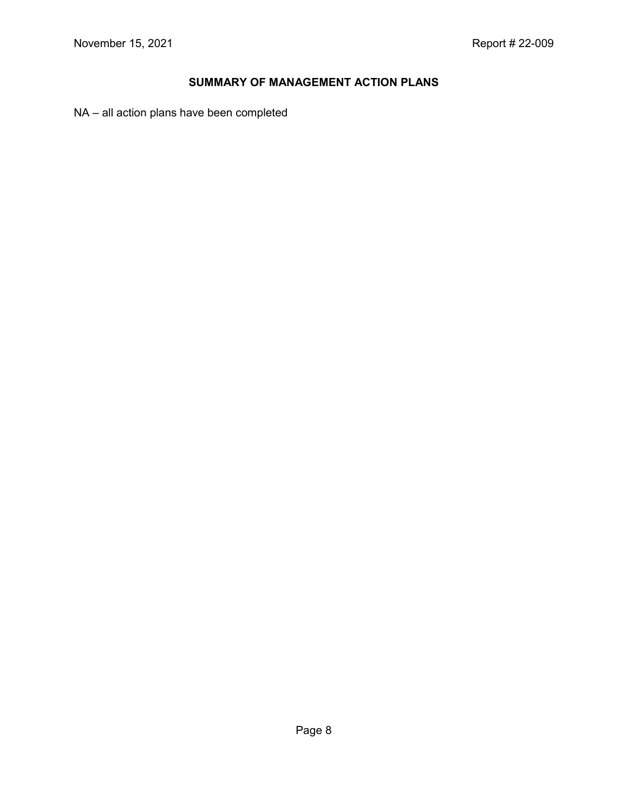# **SUMMARY OF MANAGEMENT ACTION PLANS**

NA – all action plans have been completed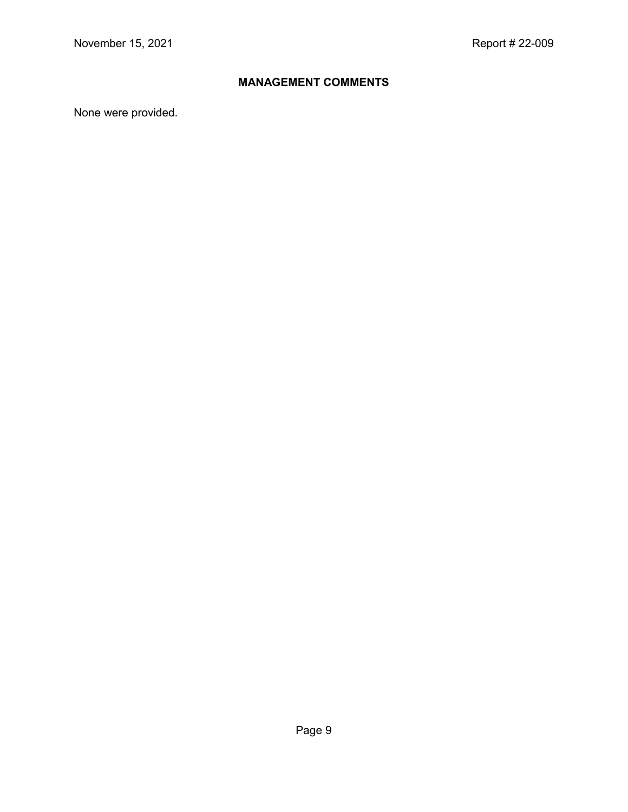# **MANAGEMENT COMMENTS**

None were provided.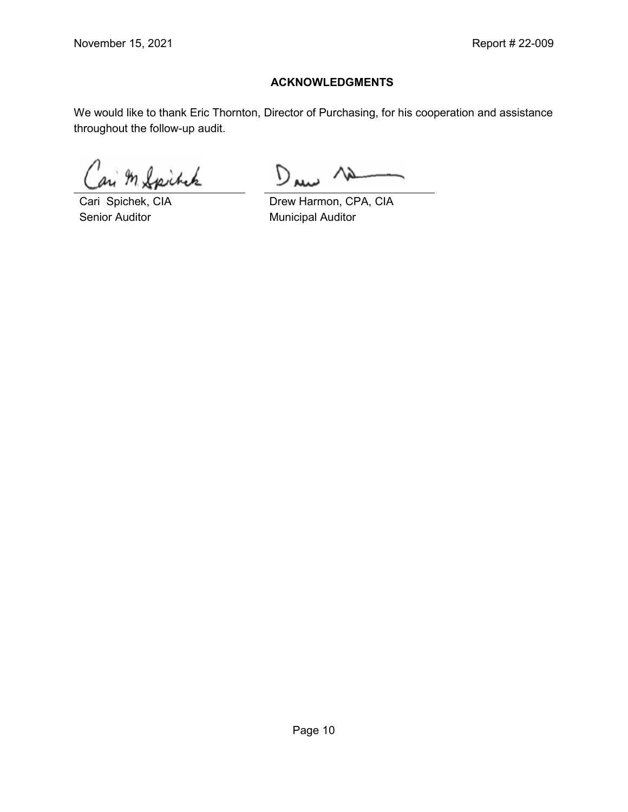#### **ACKNOWLEDGMENTS**

We would like to thank Eric Thornton, Director of Purchasing, for his cooperation and assistance throughout the follow-up audit.

In Spirack

Senior Auditor **Municipal Auditor** Municipal Auditor

 $D_{\mathbf{u}}$ 

Cari Spichek, CIA Drew Harmon, CPA, CIA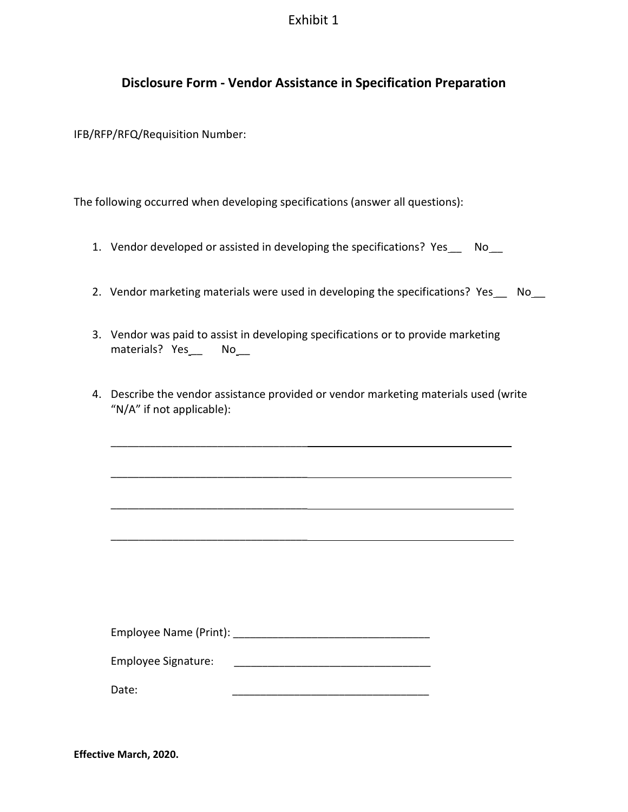#### Exhibit 1

# **Disclosure Form - Vendor Assistance in Specification Preparation**

IFB/RFP/RFQ/Requisition Number:

The following occurred when developing specifications (answer all questions):

- 1. Vendor developed or assisted in developing the specifications? Yes\_\_\_ No\_\_
- 2. Vendor marketing materials were used in developing the specifications? Yes\_\_ No\_\_
- 3. Vendor was paid to assist in developing specifications or to provide marketing materials? Yes\_\_\_ No\_\_\_
- 4. Describe the vendor assistance provided or vendor marketing materials used (write "N/A" if not applicable):

| Employee Name (Print): |  |
|------------------------|--|
|                        |  |

Employee Signature: \_\_\_\_\_\_\_\_\_\_\_\_\_\_\_\_\_\_\_\_\_\_\_\_\_\_\_\_\_\_\_\_\_\_\_

\_\_\_\_\_\_\_\_\_\_\_\_\_\_\_\_\_\_\_\_\_\_\_\_\_\_\_\_\_\_\_\_\_\_\_

\_\_\_\_\_\_\_\_\_\_\_\_\_\_\_\_\_\_\_\_\_\_\_\_\_\_\_\_\_\_\_\_\_\_\_

\_\_\_\_\_\_\_\_\_\_\_\_\_\_\_\_\_\_\_\_\_\_\_\_\_\_\_\_\_\_\_\_\_\_\_

\_\_\_\_\_\_\_\_\_\_\_\_\_\_\_\_\_\_\_\_\_\_\_\_\_\_\_\_\_\_\_\_\_\_\_

Date: \_\_\_\_\_\_\_\_\_\_\_\_\_\_\_\_\_\_\_\_\_\_\_\_\_\_\_\_\_\_\_\_\_\_\_